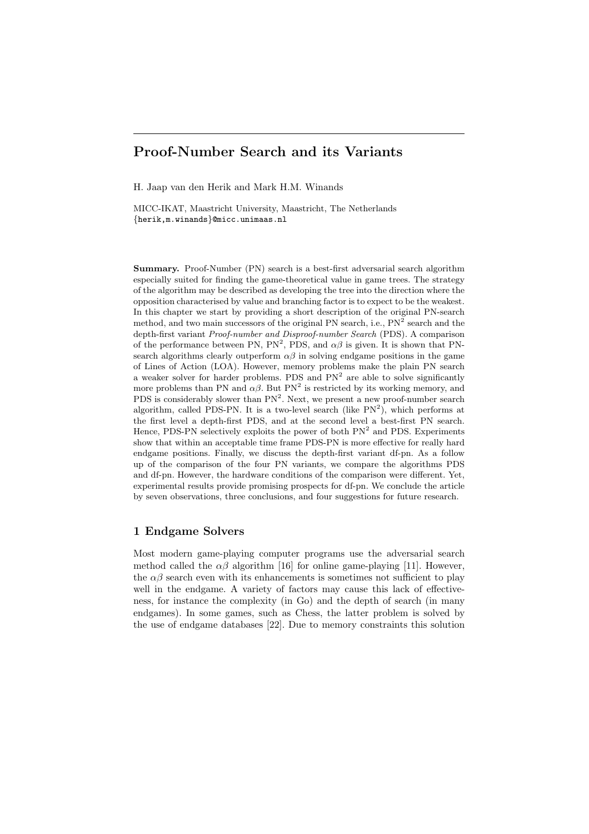# Proof-Number Search and its Variants

H. Jaap van den Herik and Mark H.M. Winands

MICC-IKAT, Maastricht University, Maastricht, The Netherlands {herik,m.winands}@micc.unimaas.nl

Summary. Proof-Number (PN) search is a best-first adversarial search algorithm especially suited for finding the game-theoretical value in game trees. The strategy of the algorithm may be described as developing the tree into the direction where the opposition characterised by value and branching factor is to expect to be the weakest. In this chapter we start by providing a short description of the original PN-search method, and two main successors of the original PN search, i.e.,  $PN<sup>2</sup>$  search and the depth-first variant Proof-number and Disproof-number Search (PDS). A comparison of the performance between PN,  $PN^2$ , PDS, and  $\alpha\beta$  is given. It is shown that PNsearch algorithms clearly outperform  $\alpha\beta$  in solving endgame positions in the game of Lines of Action (LOA). However, memory problems make the plain PN search a weaker solver for harder problems. PDS and  $PN<sup>2</sup>$  are able to solve significantly more problems than PN and  $\alpha\beta$ . But PN<sup>2</sup> is restricted by its working memory, and PDS is considerably slower than  $PN^2$ . Next, we present a new proof-number search algorithm, called PDS-PN. It is a two-level search (like  $PN<sup>2</sup>$ ), which performs at the first level a depth-first PDS, and at the second level a best-first PN search. Hence, PDS-PN selectively exploits the power of both  $PN<sup>2</sup>$  and PDS. Experiments show that within an acceptable time frame PDS-PN is more effective for really hard endgame positions. Finally, we discuss the depth-first variant df-pn. As a follow up of the comparison of the four PN variants, we compare the algorithms PDS and df-pn. However, the hardware conditions of the comparison were different. Yet, experimental results provide promising prospects for df-pn. We conclude the article by seven observations, three conclusions, and four suggestions for future research.

# 1 Endgame Solvers

Most modern game-playing computer programs use the adversarial search method called the  $\alpha\beta$  algorithm [16] for online game-playing [11]. However, the  $\alpha\beta$  search even with its enhancements is sometimes not sufficient to play well in the endgame. A variety of factors may cause this lack of effectiveness, for instance the complexity (in Go) and the depth of search (in many endgames). In some games, such as Chess, the latter problem is solved by the use of endgame databases [22]. Due to memory constraints this solution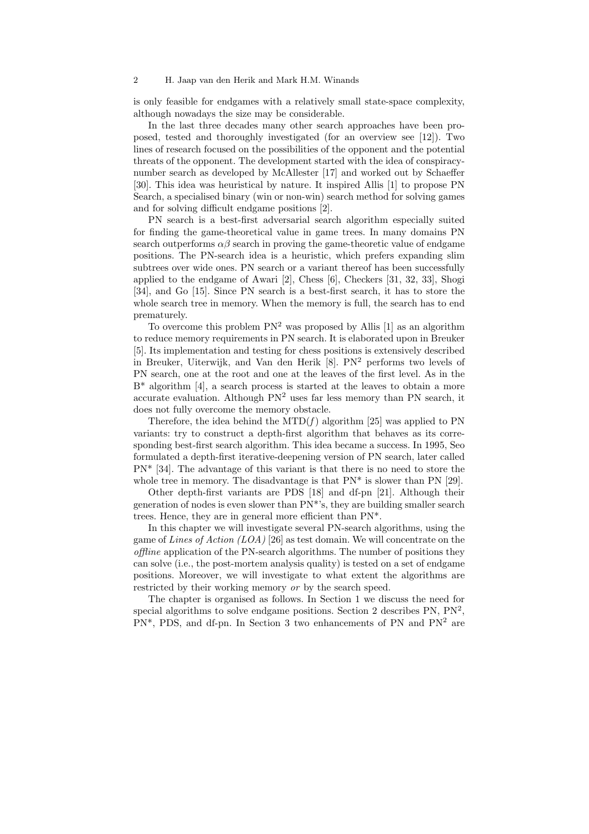is only feasible for endgames with a relatively small state-space complexity, although nowadays the size may be considerable.

In the last three decades many other search approaches have been proposed, tested and thoroughly investigated (for an overview see [12]). Two lines of research focused on the possibilities of the opponent and the potential threats of the opponent. The development started with the idea of conspiracynumber search as developed by McAllester [17] and worked out by Schaeffer [30]. This idea was heuristical by nature. It inspired Allis [1] to propose PN Search, a specialised binary (win or non-win) search method for solving games and for solving difficult endgame positions [2].

PN search is a best-first adversarial search algorithm especially suited for finding the game-theoretical value in game trees. In many domains PN search outperforms  $\alpha\beta$  search in proving the game-theoretic value of endgame positions. The PN-search idea is a heuristic, which prefers expanding slim subtrees over wide ones. PN search or a variant thereof has been successfully applied to the endgame of Awari [2], Chess [6], Checkers [31, 32, 33], Shogi [34], and Go [15]. Since PN search is a best-first search, it has to store the whole search tree in memory. When the memory is full, the search has to end prematurely.

To overcome this problem  $PN<sup>2</sup>$  was proposed by Allis [1] as an algorithm to reduce memory requirements in PN search. It is elaborated upon in Breuker [5]. Its implementation and testing for chess positions is extensively described in Breuker, Uiterwijk, and Van den Herik [8]. PN<sup>2</sup> performs two levels of PN search, one at the root and one at the leaves of the first level. As in the B\* algorithm [4], a search process is started at the leaves to obtain a more accurate evaluation. Although  $PN<sup>2</sup>$  uses far less memory than PN search, it does not fully overcome the memory obstacle.

Therefore, the idea behind the  $MTD(f)$  algorithm [25] was applied to PN variants: try to construct a depth-first algorithm that behaves as its corresponding best-first search algorithm. This idea became a success. In 1995, Seo formulated a depth-first iterative-deepening version of PN search, later called PN\* [34]. The advantage of this variant is that there is no need to store the whole tree in memory. The disadvantage is that  $PN^*$  is slower than PN [29].

Other depth-first variants are PDS [18] and df-pn [21]. Although their generation of nodes is even slower than PN\*'s, they are building smaller search trees. Hence, they are in general more efficient than PN\*.

In this chapter we will investigate several PN-search algorithms, using the game of Lines of Action  $(LOA)$  [26] as test domain. We will concentrate on the offline application of the PN-search algorithms. The number of positions they can solve (i.e., the post-mortem analysis quality) is tested on a set of endgame positions. Moreover, we will investigate to what extent the algorithms are restricted by their working memory *or* by the search speed.

The chapter is organised as follows. In Section 1 we discuss the need for special algorithms to solve endgame positions. Section 2 describes  $PN$ ,  $PN^2$ ,  $PN^*$ , PDS, and df-pn. In Section 3 two enhancements of PN and  $PN^2$  are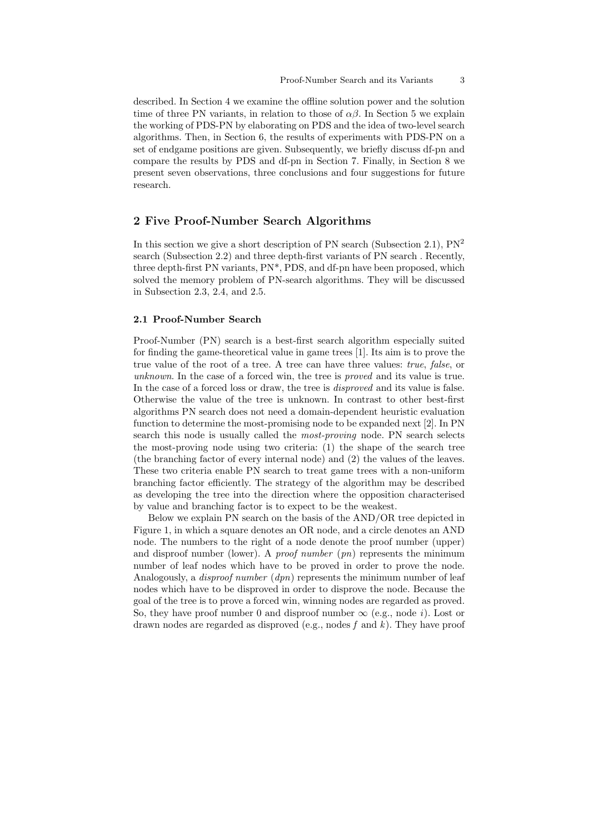described. In Section 4 we examine the offline solution power and the solution time of three PN variants, in relation to those of  $\alpha\beta$ . In Section 5 we explain the working of PDS-PN by elaborating on PDS and the idea of two-level search algorithms. Then, in Section 6, the results of experiments with PDS-PN on a set of endgame positions are given. Subsequently, we briefly discuss df-pn and compare the results by PDS and df-pn in Section 7. Finally, in Section 8 we present seven observations, three conclusions and four suggestions for future research.

# 2 Five Proof-Number Search Algorithms

In this section we give a short description of PN search (Subsection 2.1),  $PN^2$ search (Subsection 2.2) and three depth-first variants of PN search . Recently, three depth-first PN variants, PN\*, PDS, and df-pn have been proposed, which solved the memory problem of PN-search algorithms. They will be discussed in Subsection 2.3, 2.4, and 2.5.

# 2.1 Proof-Number Search

Proof-Number (PN) search is a best-first search algorithm especially suited for finding the game-theoretical value in game trees [1]. Its aim is to prove the true value of the root of a tree. A tree can have three values: true, false, or unknown. In the case of a forced win, the tree is *proved* and its value is true. In the case of a forced loss or draw, the tree is disproved and its value is false. Otherwise the value of the tree is unknown. In contrast to other best-first algorithms PN search does not need a domain-dependent heuristic evaluation function to determine the most-promising node to be expanded next [2]. In PN search this node is usually called the *most-proving* node. PN search selects the most-proving node using two criteria: (1) the shape of the search tree (the branching factor of every internal node) and (2) the values of the leaves. These two criteria enable PN search to treat game trees with a non-uniform branching factor efficiently. The strategy of the algorithm may be described as developing the tree into the direction where the opposition characterised by value and branching factor is to expect to be the weakest.

Below we explain PN search on the basis of the AND/OR tree depicted in Figure 1, in which a square denotes an OR node, and a circle denotes an AND node. The numbers to the right of a node denote the proof number (upper) and disproof number (lower). A *proof number*  $(pn)$  represents the minimum number of leaf nodes which have to be proved in order to prove the node. Analogously, a *disproof number*  $(dpn)$  represents the minimum number of leaf nodes which have to be disproved in order to disprove the node. Because the goal of the tree is to prove a forced win, winning nodes are regarded as proved. So, they have proof number 0 and disproof number  $\infty$  (e.g., node i). Lost or drawn nodes are regarded as disproved (e.g., nodes f and  $k$ ). They have proof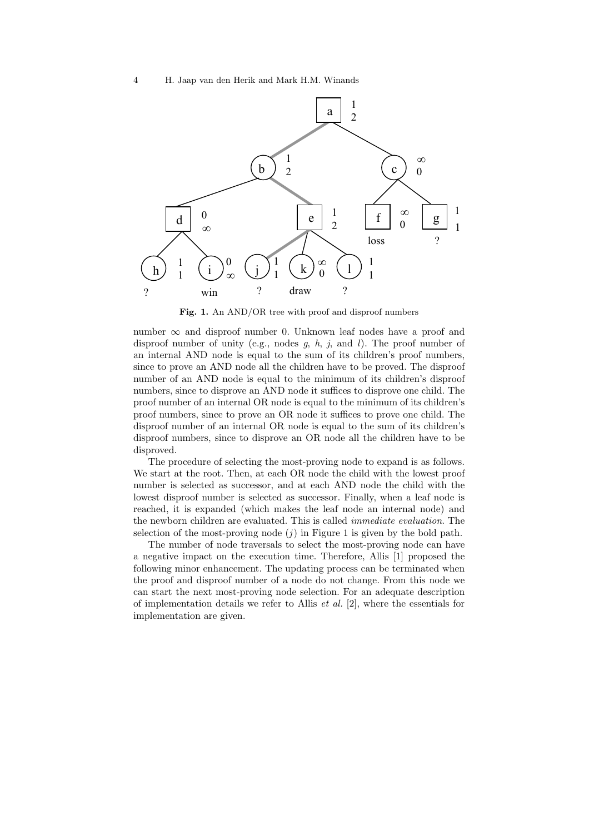

Fig. 1. An AND/OR tree with proof and disproof numbers

number  $\infty$  and disproof number 0. Unknown leaf nodes have a proof and disproof number of unity (e.g., nodes  $g, h, j$ , and  $l$ ). The proof number of an internal AND node is equal to the sum of its children's proof numbers, since to prove an AND node all the children have to be proved. The disproof number of an AND node is equal to the minimum of its children's disproof numbers, since to disprove an AND node it suffices to disprove one child. The proof number of an internal OR node is equal to the minimum of its children's proof numbers, since to prove an OR node it suffices to prove one child. The disproof number of an internal OR node is equal to the sum of its children's disproof numbers, since to disprove an OR node all the children have to be disproved.

The procedure of selecting the most-proving node to expand is as follows. We start at the root. Then, at each OR node the child with the lowest proof number is selected as successor, and at each AND node the child with the lowest disproof number is selected as successor. Finally, when a leaf node is reached, it is expanded (which makes the leaf node an internal node) and the newborn children are evaluated. This is called immediate evaluation. The selection of the most-proving node  $(j)$  in Figure 1 is given by the bold path.

The number of node traversals to select the most-proving node can have a negative impact on the execution time. Therefore, Allis [1] proposed the following minor enhancement. The updating process can be terminated when the proof and disproof number of a node do not change. From this node we can start the next most-proving node selection. For an adequate description of implementation details we refer to Allis  $et \ al.$  [2], where the essentials for implementation are given.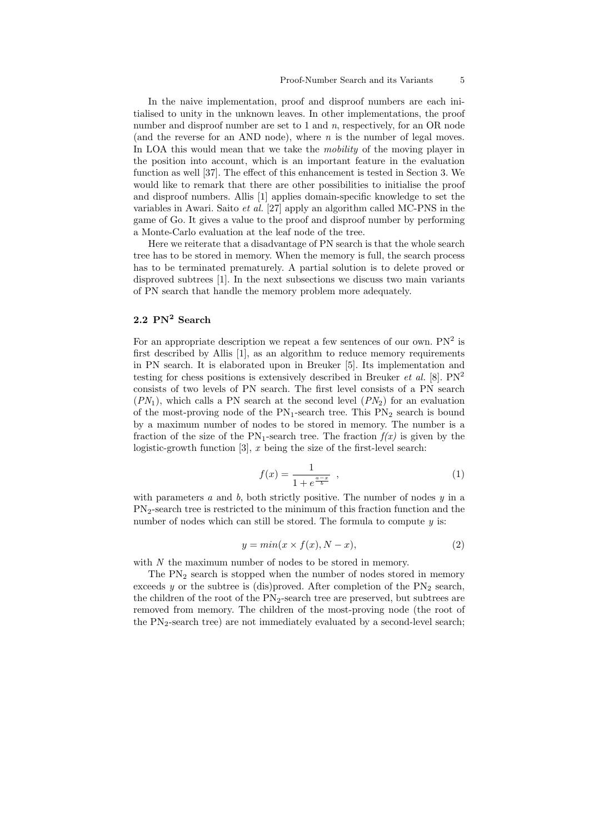In the naive implementation, proof and disproof numbers are each initialised to unity in the unknown leaves. In other implementations, the proof number and disproof number are set to 1 and  $n$ , respectively, for an OR node (and the reverse for an AND node), where  $n$  is the number of legal moves. In LOA this would mean that we take the *mobility* of the moving player in the position into account, which is an important feature in the evaluation function as well [37]. The effect of this enhancement is tested in Section 3. We would like to remark that there are other possibilities to initialise the proof and disproof numbers. Allis [1] applies domain-specific knowledge to set the variables in Awari. Saito et al. [27] apply an algorithm called MC-PNS in the game of Go. It gives a value to the proof and disproof number by performing a Monte-Carlo evaluation at the leaf node of the tree.

Here we reiterate that a disadvantage of PN search is that the whole search tree has to be stored in memory. When the memory is full, the search process has to be terminated prematurely. A partial solution is to delete proved or disproved subtrees [1]. In the next subsections we discuss two main variants of PN search that handle the memory problem more adequately.

# 2.2 PN<sup>2</sup> Search

For an appropriate description we repeat a few sentences of our own.  $PN<sup>2</sup>$  is first described by Allis [1], as an algorithm to reduce memory requirements in PN search. It is elaborated upon in Breuker [5]. Its implementation and testing for chess positions is extensively described in Breuker *et al.* [8].  $PN^2$ consists of two levels of PN search. The first level consists of a PN search  $(PN_1)$ , which calls a PN search at the second level  $(PN_2)$  for an evaluation of the most-proving node of the  $PN_1$ -search tree. This  $PN_2$  search is bound by a maximum number of nodes to be stored in memory. The number is a fraction of the size of the  $PN_1$ -search tree. The fraction  $f(x)$  is given by the logistic-growth function  $[3]$ , x being the size of the first-level search:

$$
f(x) = \frac{1}{1 + e^{\frac{a - x}{b}}},
$$
\n(1)

with parameters a and b, both strictly positive. The number of nodes  $y$  in a PN2-search tree is restricted to the minimum of this fraction function and the number of nodes which can still be stored. The formula to compute  $y$  is:

$$
y = min(x \times f(x), N - x), \tag{2}
$$

with  $N$  the maximum number of nodes to be stored in memory.

The  $PN<sub>2</sub>$  search is stopped when the number of nodes stored in memory exceeds y or the subtree is (dis)proved. After completion of the  $PN<sub>2</sub>$  search, the children of the root of the  $PN_2$ -search tree are preserved, but subtrees are removed from memory. The children of the most-proving node (the root of the  $PN_2$ -search tree) are not immediately evaluated by a second-level search;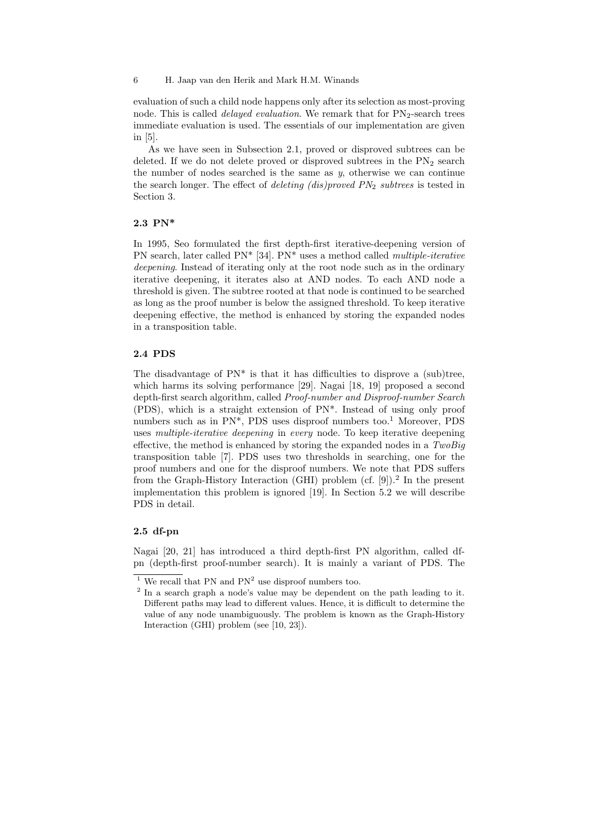evaluation of such a child node happens only after its selection as most-proving node. This is called *delayed evaluation*. We remark that for  $PN<sub>2</sub>$ -search trees immediate evaluation is used. The essentials of our implementation are given in [5].

As we have seen in Subsection 2.1, proved or disproved subtrees can be deleted. If we do not delete proved or disproved subtrees in the  $PN<sub>2</sub>$  search the number of nodes searched is the same as y, otherwise we can continue the search longer. The effect of *deleting (dis)proved*  $PN_2$  *subtrees* is tested in Section 3.

#### 2.3 PN\*

In 1995, Seo formulated the first depth-first iterative-deepening version of PN search, later called PN\* [34]. PN\* uses a method called multiple-iterative deepening. Instead of iterating only at the root node such as in the ordinary iterative deepening, it iterates also at AND nodes. To each AND node a threshold is given. The subtree rooted at that node is continued to be searched as long as the proof number is below the assigned threshold. To keep iterative deepening effective, the method is enhanced by storing the expanded nodes in a transposition table.

# 2.4 PDS

The disadvantage of  $PN^*$  is that it has difficulties to disprove a (sub)tree, which harms its solving performance [29]. Nagai [18, 19] proposed a second depth-first search algorithm, called Proof-number and Disproof-number Search (PDS), which is a straight extension of PN\*. Instead of using only proof numbers such as in PN<sup>\*</sup>, PDS uses disproof numbers too.<sup>1</sup> Moreover, PDS uses multiple-iterative deepening in every node. To keep iterative deepening effective, the method is enhanced by storing the expanded nodes in a  $TwoBig$ transposition table [7]. PDS uses two thresholds in searching, one for the proof numbers and one for the disproof numbers. We note that PDS suffers from the Graph-History Interaction (GHI) problem (cf.  $[9]$ ).<sup>2</sup> In the present implementation this problem is ignored [19]. In Section 5.2 we will describe PDS in detail.

#### 2.5 df-pn

Nagai [20, 21] has introduced a third depth-first PN algorithm, called dfpn (depth-first proof-number search). It is mainly a variant of PDS. The

 $\overline{1}$  We recall that PN and PN<sup>2</sup> use disproof numbers too.

<sup>&</sup>lt;sup>2</sup> In a search graph a node's value may be dependent on the path leading to it. Different paths may lead to different values. Hence, it is difficult to determine the value of any node unambiguously. The problem is known as the Graph-History Interaction (GHI) problem (see [10, 23]).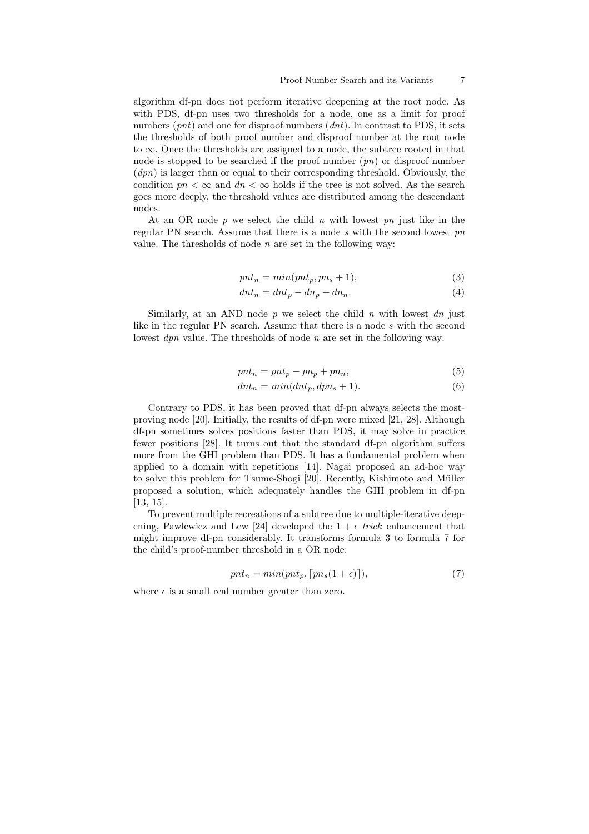algorithm df-pn does not perform iterative deepening at the root node. As with PDS, df-pn uses two thresholds for a node, one as a limit for proof numbers  $(\text{pnt})$  and one for disproof numbers  $(\text{dnt})$ . In contrast to PDS, it sets the thresholds of both proof number and disproof number at the root node to ∞. Once the thresholds are assigned to a node, the subtree rooted in that node is stopped to be searched if the proof number  $(pn)$  or disproof number  $(dpn)$  is larger than or equal to their corresponding threshold. Obviously, the condition  $pn < \infty$  and  $dn < \infty$  holds if the tree is not solved. As the search goes more deeply, the threshold values are distributed among the descendant nodes.

At an OR node  $p$  we select the child  $n$  with lowest  $pn$  just like in the regular PN search. Assume that there is a node  $s$  with the second lowest  $pn$ value. The thresholds of node  $n$  are set in the following way:

$$
pnt_n = min(pnt_p, pn_s + 1),
$$
\n(3)

$$
dn t_n = dn t_p - dn_p + dn_n. \tag{4}
$$

Similarly, at an AND node  $p$  we select the child  $n$  with lowest  $dn$  just like in the regular PN search. Assume that there is a node s with the second lowest *dpn* value. The thresholds of node *n* are set in the following way:

$$
pnt_n = pnt_p - pn_p + pn_n,\tag{5}
$$

$$
dnt_n = min(dnt_p, dpn_s + 1). \t\t(6)
$$

Contrary to PDS, it has been proved that df-pn always selects the mostproving node [20]. Initially, the results of df-pn were mixed [21, 28]. Although df-pn sometimes solves positions faster than PDS, it may solve in practice fewer positions [28]. It turns out that the standard df-pn algorithm suffers more from the GHI problem than PDS. It has a fundamental problem when applied to a domain with repetitions [14]. Nagai proposed an ad-hoc way to solve this problem for Tsume-Shogi [20]. Recently, Kishimoto and Müller proposed a solution, which adequately handles the GHI problem in df-pn [13, 15].

To prevent multiple recreations of a subtree due to multiple-iterative deepening, Pawlewicz and Lew [24] developed the  $1 + \epsilon$  trick enhancement that might improve df-pn considerably. It transforms formula 3 to formula 7 for the child's proof-number threshold in a OR node:

$$
pnt_n = min(pnt_p, \lceil pn_s(1+\epsilon) \rceil),\tag{7}
$$

where  $\epsilon$  is a small real number greater than zero.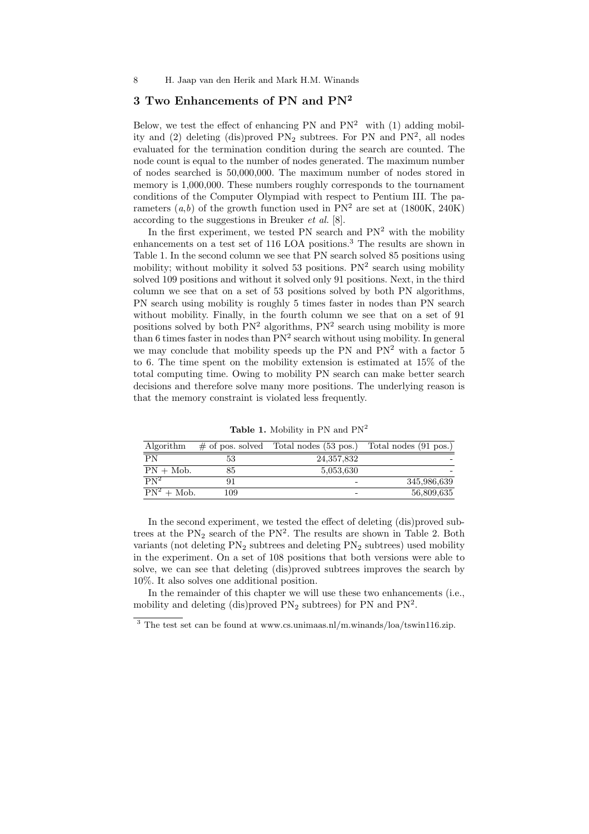# 3 Two Enhancements of PN and  $PN^2$

Below, we test the effect of enhancing PN and  $PN<sup>2</sup>$  with (1) adding mobility and (2) deleting (dis)proved  $PN_2$  subtrees. For PN and  $PN^2$ , all nodes evaluated for the termination condition during the search are counted. The node count is equal to the number of nodes generated. The maximum number of nodes searched is 50,000,000. The maximum number of nodes stored in memory is 1,000,000. These numbers roughly corresponds to the tournament conditions of the Computer Olympiad with respect to Pentium III. The parameters  $(a,b)$  of the growth function used in PN<sup>2</sup> are set at (1800K, 240K) according to the suggestions in Breuker et al. [8].

In the first experiment, we tested PN search and  $PN<sup>2</sup>$  with the mobility enhancements on a test set of 116 LOA positions.<sup>3</sup> The results are shown in Table 1. In the second column we see that PN search solved 85 positions using mobility; without mobility it solved 53 positions.  $PN<sup>2</sup>$  search using mobility solved 109 positions and without it solved only 91 positions. Next, in the third column we see that on a set of 53 positions solved by both PN algorithms, PN search using mobility is roughly 5 times faster in nodes than PN search without mobility. Finally, in the fourth column we see that on a set of 91 positions solved by both  $PN^2$  algorithms,  $PN^2$  search using mobility is more than 6 times faster in nodes than  $PN^2$  search without using mobility. In general we may conclude that mobility speeds up the PN and  $PN<sup>2</sup>$  with a factor 5 to 6. The time spent on the mobility extension is estimated at 15% of the total computing time. Owing to mobility PN search can make better search decisions and therefore solve many more positions. The underlying reason is that the memory constraint is violated less frequently.

| Algorithm                |     | $\#$ of pos. solved Total nodes (53 pos.) | Total nodes (91 pos.) |
|--------------------------|-----|-------------------------------------------|-----------------------|
| $\overline{PN}$          | 53  | 24, 357, 832                              |                       |
| $PN + Mob.$              | 85  | 5,053,630                                 |                       |
| $PN^2$                   |     | -                                         | 345,986,639           |
| $\overline{PN^2 +}$ Mob. | 109 | -                                         | 56,809,635            |

**Table 1.** Mobility in PN and  $PN^2$ 

In the second experiment, we tested the effect of deleting (dis)proved subtrees at the  $PN<sub>2</sub>$  search of the  $PN<sup>2</sup>$ . The results are shown in Table 2. Both variants (not deleting  $PN_2$  subtrees and deleting  $PN_2$  subtrees) used mobility in the experiment. On a set of 108 positions that both versions were able to solve, we can see that deleting (dis)proved subtrees improves the search by 10%. It also solves one additional position.

In the remainder of this chapter we will use these two enhancements (i.e., mobility and deleting (dis)proved  $PN_2$  subtrees) for PN and  $PN^2$ .

 $\frac{3}{3}$  The test set can be found at www.cs.unimaas.nl/m.winands/loa/tswin116.zip.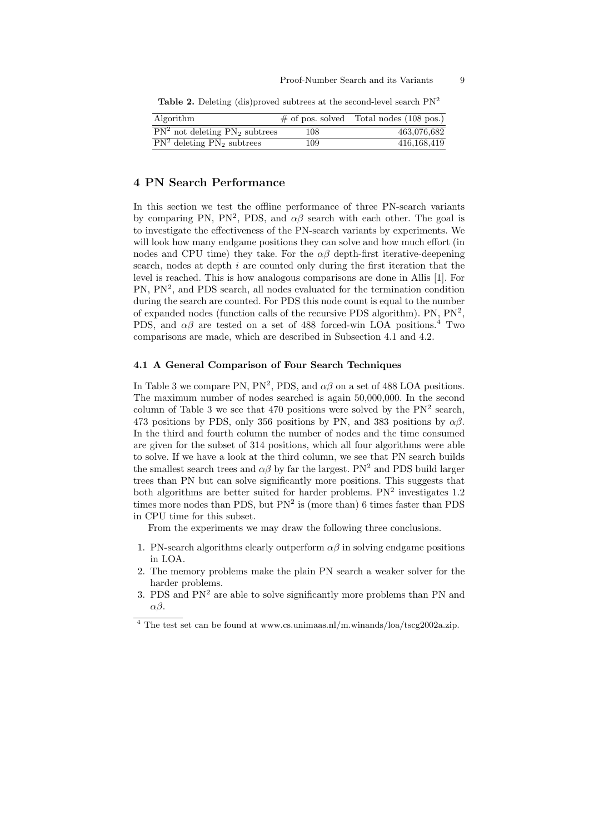| Algorithm                                             |     | $\#$ of pos. solved Total nodes (108 pos.) |
|-------------------------------------------------------|-----|--------------------------------------------|
| $\overline{PN^2}$ not deleting $PN_2$ subtrees        | 108 | 463,076,682                                |
| $\overline{PN^2}$ deleting $\overline{PN_2}$ subtrees | 109 | 416, 168, 419                              |

Table 2. Deleting (dis)proved subtrees at the second-level search  $PN^2$ 

# 4 PN Search Performance

In this section we test the offline performance of three PN-search variants by comparing PN, PN<sup>2</sup>, PDS, and  $\alpha\beta$  search with each other. The goal is to investigate the effectiveness of the PN-search variants by experiments. We will look how many endgame positions they can solve and how much effort (in nodes and CPU time) they take. For the  $\alpha\beta$  depth-first iterative-deepening search, nodes at depth  $i$  are counted only during the first iteration that the level is reached. This is how analogous comparisons are done in Allis [1]. For PN, PN<sup>2</sup>, and PDS search, all nodes evaluated for the termination condition during the search are counted. For PDS this node count is equal to the number of expanded nodes (function calls of the recursive PDS algorithm). PN,  $PN^2$ , PDS, and  $\alpha\beta$  are tested on a set of 488 forced-win LOA positions.<sup>4</sup> Two comparisons are made, which are described in Subsection 4.1 and 4.2.

## 4.1 A General Comparison of Four Search Techniques

In Table 3 we compare PN,  $PN^2$ , PDS, and  $\alpha\beta$  on a set of 488 LOA positions. The maximum number of nodes searched is again 50,000,000. In the second column of Table 3 we see that 470 positions were solved by the  $PN<sup>2</sup>$  search, 473 positions by PDS, only 356 positions by PN, and 383 positions by  $\alpha\beta$ . In the third and fourth column the number of nodes and the time consumed are given for the subset of 314 positions, which all four algorithms were able to solve. If we have a look at the third column, we see that PN search builds the smallest search trees and  $\alpha\beta$  by far the largest. PN<sup>2</sup> and PDS build larger trees than PN but can solve significantly more positions. This suggests that both algorithms are better suited for harder problems. PN<sup>2</sup> investigates 1.2 times more nodes than PDS, but PN<sup>2</sup> is (more than) 6 times faster than PDS in CPU time for this subset.

From the experiments we may draw the following three conclusions.

- 1. PN-search algorithms clearly outperform  $\alpha\beta$  in solving endgame positions in LOA.
- 2. The memory problems make the plain PN search a weaker solver for the harder problems.
- 3. PDS and  $PN<sup>2</sup>$  are able to solve significantly more problems than PN and αβ.

 $4$  The test set can be found at www.cs.unimaas.nl/m.winands/loa/tscg2002a.zip.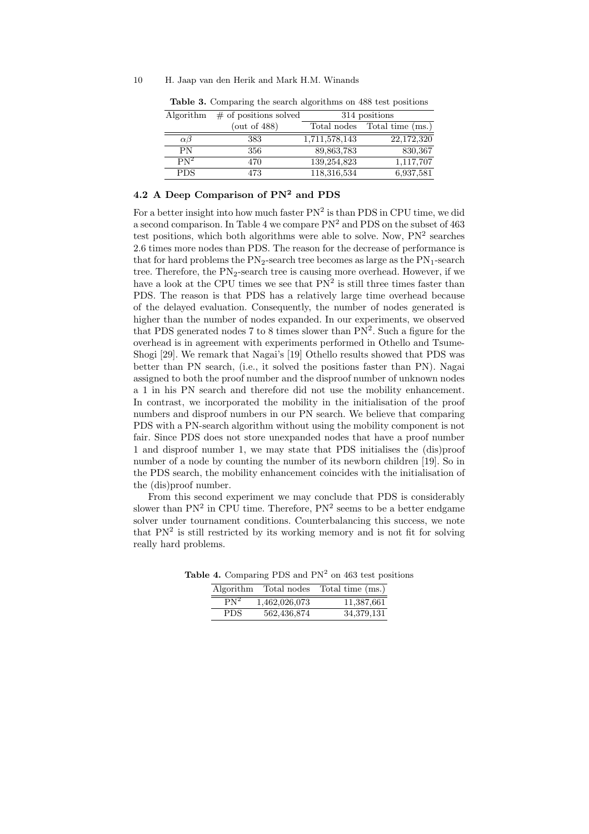| Algorithm     | $\#$ of positions solved | 314 positions |                              |
|---------------|--------------------------|---------------|------------------------------|
|               | (out of $488$ )          |               | Total nodes Total time (ms.) |
| $\alpha\beta$ | 383                      | 1,711,578,143 | 22,172,320                   |
| PN            | 356                      | 89,863,783    | 830, 367                     |
| $PN^2$        | 470                      | 139,254,823   | 1,117,707                    |
| <b>PDS</b>    | 473                      | 118,316,534   | 6,937,581                    |

Table 3. Comparing the search algorithms on 488 test positions

# 4.2 A Deep Comparison of PN<sup>2</sup> and PDS

For a better insight into how much faster  $PN^2$  is than PDS in CPU time, we did a second comparison. In Table 4 we compare  $PN<sup>2</sup>$  and PDS on the subset of 463 test positions, which both algorithms were able to solve. Now,  $PN<sup>2</sup>$  searches 2.6 times more nodes than PDS. The reason for the decrease of performance is that for hard problems the  $PN_2$ -search tree becomes as large as the  $PN_1$ -search tree. Therefore, the  $PN_2$ -search tree is causing more overhead. However, if we have a look at the CPU times we see that  $PN<sup>2</sup>$  is still three times faster than PDS. The reason is that PDS has a relatively large time overhead because of the delayed evaluation. Consequently, the number of nodes generated is higher than the number of nodes expanded. In our experiments, we observed that PDS generated nodes  $7$  to  $8$  times slower than  $PN^2$ . Such a figure for the overhead is in agreement with experiments performed in Othello and Tsume-Shogi [29]. We remark that Nagai's [19] Othello results showed that PDS was better than PN search, (i.e., it solved the positions faster than PN). Nagai assigned to both the proof number and the disproof number of unknown nodes a 1 in his PN search and therefore did not use the mobility enhancement. In contrast, we incorporated the mobility in the initialisation of the proof numbers and disproof numbers in our PN search. We believe that comparing PDS with a PN-search algorithm without using the mobility component is not fair. Since PDS does not store unexpanded nodes that have a proof number 1 and disproof number 1, we may state that PDS initialises the (dis)proof number of a node by counting the number of its newborn children [19]. So in the PDS search, the mobility enhancement coincides with the initialisation of the (dis)proof number.

From this second experiment we may conclude that PDS is considerably slower than  $PN^2$  in CPU time. Therefore,  $PN^2$  seems to be a better endgame solver under tournament conditions. Counterbalancing this success, we note that  $PN<sup>2</sup>$  is still restricted by its working memory and is not fit for solving really hard problems.

| Algorithm | Total nodes   | Total time (ms.) |
|-----------|---------------|------------------|
| $PN^2$    | 1,462,026,073 | 11,387,661       |
| PDS.      | 562,436,874   | 34,379,131       |

Table 4. Comparing PDS and  $PN<sup>2</sup>$  on 463 test positions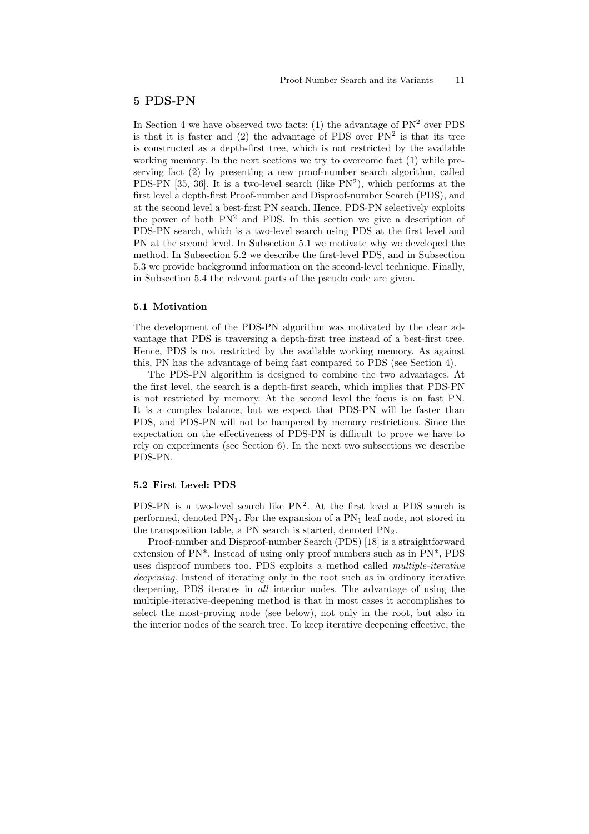# 5 PDS-PN

In Section 4 we have observed two facts:  $(1)$  the advantage of  $PN<sup>2</sup>$  over PDS is that it is faster and  $(2)$  the advantage of PDS over  $PN<sup>2</sup>$  is that its tree is constructed as a depth-first tree, which is not restricted by the available working memory. In the next sections we try to overcome fact (1) while preserving fact (2) by presenting a new proof-number search algorithm, called PDS-PN [35, 36]. It is a two-level search (like  $PN<sup>2</sup>$ ), which performs at the first level a depth-first Proof-number and Disproof-number Search (PDS), and at the second level a best-first PN search. Hence, PDS-PN selectively exploits the power of both  $PN^2$  and PDS. In this section we give a description of PDS-PN search, which is a two-level search using PDS at the first level and PN at the second level. In Subsection 5.1 we motivate why we developed the method. In Subsection 5.2 we describe the first-level PDS, and in Subsection 5.3 we provide background information on the second-level technique. Finally, in Subsection 5.4 the relevant parts of the pseudo code are given.

#### 5.1 Motivation

The development of the PDS-PN algorithm was motivated by the clear advantage that PDS is traversing a depth-first tree instead of a best-first tree. Hence, PDS is not restricted by the available working memory. As against this, PN has the advantage of being fast compared to PDS (see Section 4).

The PDS-PN algorithm is designed to combine the two advantages. At the first level, the search is a depth-first search, which implies that PDS-PN is not restricted by memory. At the second level the focus is on fast PN. It is a complex balance, but we expect that PDS-PN will be faster than PDS, and PDS-PN will not be hampered by memory restrictions. Since the expectation on the effectiveness of PDS-PN is difficult to prove we have to rely on experiments (see Section 6). In the next two subsections we describe PDS-PN.

#### 5.2 First Level: PDS

PDS-PN is a two-level search like PN<sup>2</sup> . At the first level a PDS search is performed, denoted  $PN_1$ . For the expansion of a  $PN_1$  leaf node, not stored in the transposition table, a PN search is started, denoted  $PN_2$ .

Proof-number and Disproof-number Search (PDS) [18] is a straightforward extension of PN\*. Instead of using only proof numbers such as in PN\*, PDS uses disproof numbers too. PDS exploits a method called multiple-iterative deepening. Instead of iterating only in the root such as in ordinary iterative deepening, PDS iterates in all interior nodes. The advantage of using the multiple-iterative-deepening method is that in most cases it accomplishes to select the most-proving node (see below), not only in the root, but also in the interior nodes of the search tree. To keep iterative deepening effective, the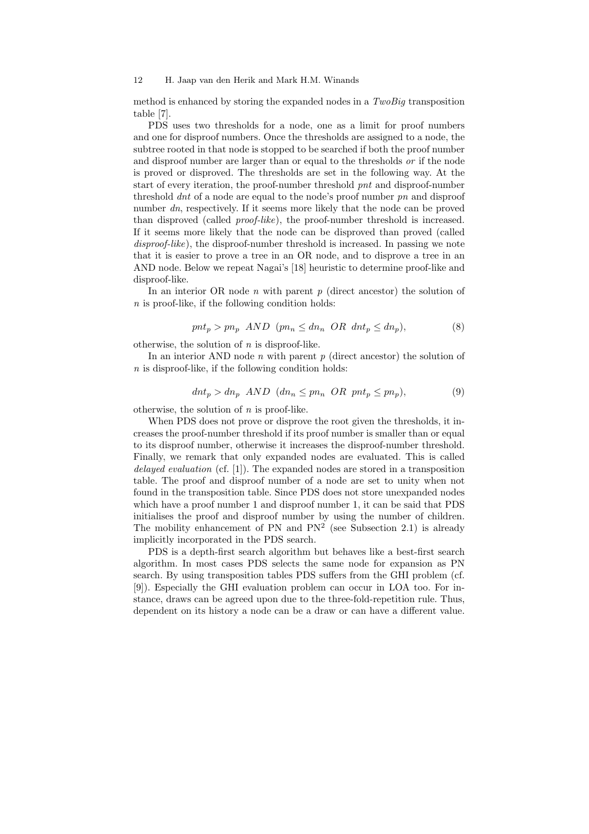method is enhanced by storing the expanded nodes in a  $TwoBig$  transposition table [7].

PDS uses two thresholds for a node, one as a limit for proof numbers and one for disproof numbers. Once the thresholds are assigned to a node, the subtree rooted in that node is stopped to be searched if both the proof number and disproof number are larger than or equal to the thresholds or if the node is proved or disproved. The thresholds are set in the following way. At the start of every iteration, the proof-number threshold pnt and disproof-number threshold dnt of a node are equal to the node's proof number pn and disproof number dn, respectively. If it seems more likely that the node can be proved than disproved (called *proof-like*), the proof-number threshold is increased. If it seems more likely that the node can be disproved than proved (called disproof-like), the disproof-number threshold is increased. In passing we note that it is easier to prove a tree in an OR node, and to disprove a tree in an AND node. Below we repeat Nagai's [18] heuristic to determine proof-like and disproof-like.

In an interior OR node  $n$  with parent  $p$  (direct ancestor) the solution of  $n$  is proof-like, if the following condition holds:

$$
pnt_p > pn_p \ AND \ (pn_n \leq dn_n \ OR \ dnt_p \leq dn_p),
$$
 (8)

otherwise, the solution of  $n$  is disproof-like.

In an interior AND node  $n$  with parent  $p$  (direct ancestor) the solution of  $n$  is disproof-like, if the following condition holds:

$$
dnt_p > dn_p \, AND \, (dn_n \leq pn_n \, OR \, mt_p \leq pn_p), \tag{9}
$$

otherwise, the solution of  $n$  is proof-like.

When PDS does not prove or disprove the root given the thresholds, it increases the proof-number threshold if its proof number is smaller than or equal to its disproof number, otherwise it increases the disproof-number threshold. Finally, we remark that only expanded nodes are evaluated. This is called delayed evaluation (cf. [1]). The expanded nodes are stored in a transposition table. The proof and disproof number of a node are set to unity when not found in the transposition table. Since PDS does not store unexpanded nodes which have a proof number 1 and disproof number 1, it can be said that PDS initialises the proof and disproof number by using the number of children. The mobility enhancement of PN and  $PN<sup>2</sup>$  (see Subsection 2.1) is already implicitly incorporated in the PDS search.

PDS is a depth-first search algorithm but behaves like a best-first search algorithm. In most cases PDS selects the same node for expansion as PN search. By using transposition tables PDS suffers from the GHI problem (cf. [9]). Especially the GHI evaluation problem can occur in LOA too. For instance, draws can be agreed upon due to the three-fold-repetition rule. Thus, dependent on its history a node can be a draw or can have a different value.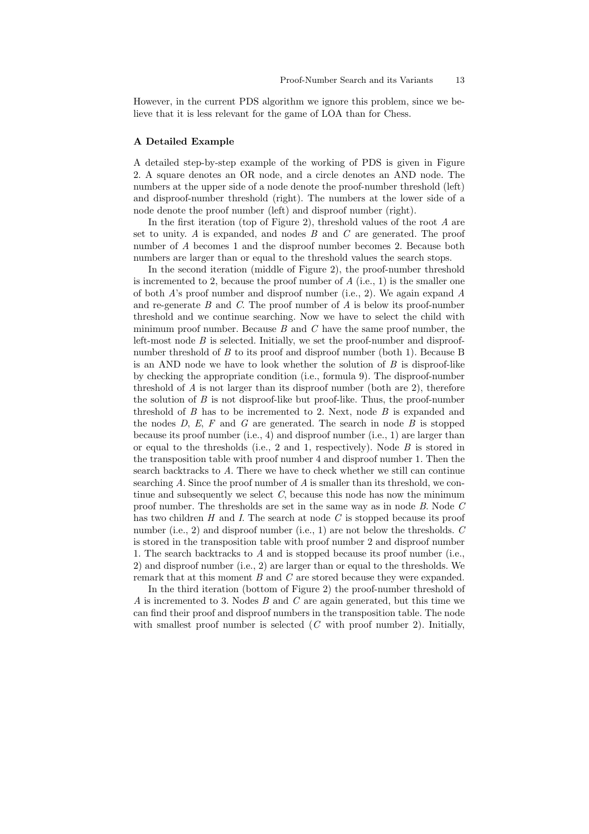However, in the current PDS algorithm we ignore this problem, since we believe that it is less relevant for the game of LOA than for Chess.

#### A Detailed Example

A detailed step-by-step example of the working of PDS is given in Figure 2. A square denotes an OR node, and a circle denotes an AND node. The numbers at the upper side of a node denote the proof-number threshold (left) and disproof-number threshold (right). The numbers at the lower side of a node denote the proof number (left) and disproof number (right).

In the first iteration (top of Figure 2), threshold values of the root A are set to unity. A is expanded, and nodes  $B$  and  $C$  are generated. The proof number of A becomes 1 and the disproof number becomes 2. Because both numbers are larger than or equal to the threshold values the search stops.

In the second iteration (middle of Figure 2), the proof-number threshold is incremented to 2, because the proof number of  $A$  (i.e., 1) is the smaller one of both  $A$ 's proof number and disproof number (i.e., 2). We again expand  $A$ and re-generate  $B$  and  $C$ . The proof number of  $A$  is below its proof-number threshold and we continue searching. Now we have to select the child with minimum proof number. Because  $B$  and  $C$  have the same proof number, the left-most node  $B$  is selected. Initially, we set the proof-number and disproofnumber threshold of  $B$  to its proof and disproof number (both 1). Because  $B$ is an AND node we have to look whether the solution of  $B$  is disproof-like by checking the appropriate condition (i.e., formula 9). The disproof-number threshold of A is not larger than its disproof number (both are 2), therefore the solution of  $B$  is not disproof-like but proof-like. Thus, the proof-number threshold of  $B$  has to be incremented to 2. Next, node  $B$  is expanded and the nodes  $D, E, F$  and  $G$  are generated. The search in node  $B$  is stopped because its proof number (i.e., 4) and disproof number (i.e., 1) are larger than or equal to the thresholds (i.e., 2 and 1, respectively). Node  $B$  is stored in the transposition table with proof number 4 and disproof number 1. Then the search backtracks to A. There we have to check whether we still can continue searching A. Since the proof number of A is smaller than its threshold, we continue and subsequently we select  $C$ , because this node has now the minimum proof number. The thresholds are set in the same way as in node B. Node C has two children  $H$  and  $I$ . The search at node  $C$  is stopped because its proof number (i.e., 2) and disproof number (i.e., 1) are not below the thresholds. C is stored in the transposition table with proof number 2 and disproof number 1. The search backtracks to A and is stopped because its proof number (i.e., 2) and disproof number (i.e., 2) are larger than or equal to the thresholds. We remark that at this moment  $B$  and  $C$  are stored because they were expanded.

In the third iteration (bottom of Figure 2) the proof-number threshold of A is incremented to 3. Nodes  $B$  and  $C$  are again generated, but this time we can find their proof and disproof numbers in the transposition table. The node with smallest proof number is selected  $(C$  with proof number 2). Initially,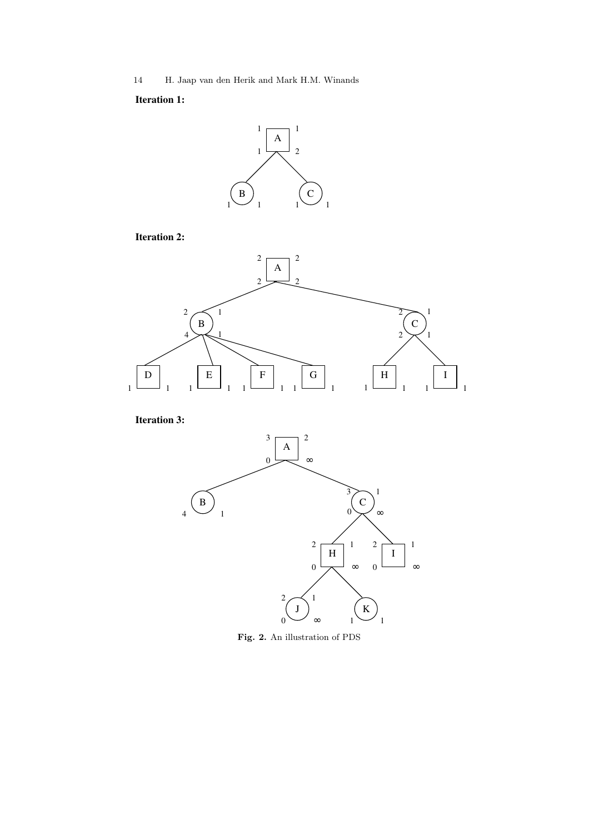# **Iteration 1:**







**Iteration 3:**



Fig. 2. An illustration of PDS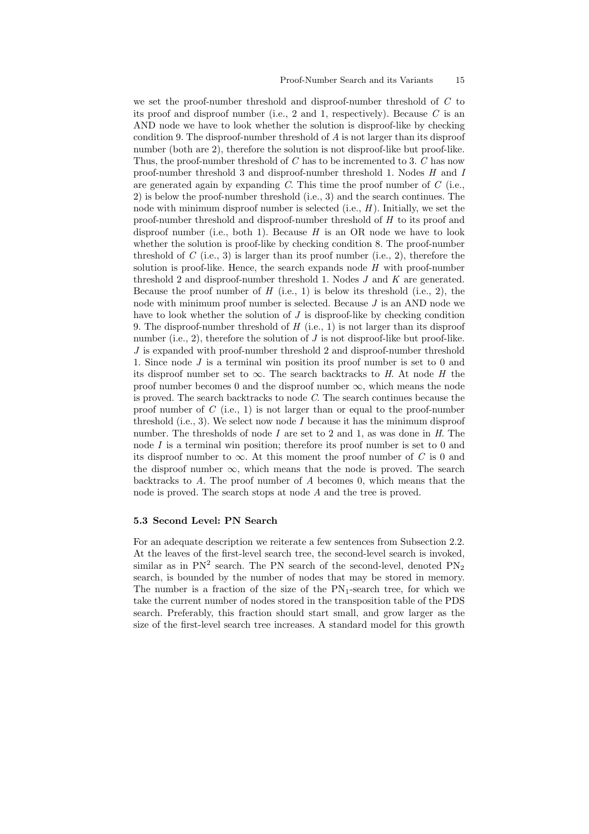we set the proof-number threshold and disproof-number threshold of  $C$  to its proof and disproof number (i.e., 2 and 1, respectively). Because  $C$  is an AND node we have to look whether the solution is disproof-like by checking condition 9. The disproof-number threshold of A is not larger than its disproof number (both are 2), therefore the solution is not disproof-like but proof-like. Thus, the proof-number threshold of  $C$  has to be incremented to 3.  $C$  has now proof-number threshold 3 and disproof-number threshold 1. Nodes H and I are generated again by expanding  $C$ . This time the proof number of  $C$  (i.e., 2) is below the proof-number threshold (i.e., 3) and the search continues. The node with minimum disproof number is selected (i.e.,  $H$ ). Initially, we set the proof-number threshold and disproof-number threshold of H to its proof and disproof number (i.e., both 1). Because  $H$  is an OR node we have to look whether the solution is proof-like by checking condition 8. The proof-number threshold of C (i.e., 3) is larger than its proof number (i.e., 2), therefore the solution is proof-like. Hence, the search expands node  $H$  with proof-number threshold 2 and disproof-number threshold 1. Nodes J and K are generated. Because the proof number of  $H$  (i.e., 1) is below its threshold (i.e., 2), the node with minimum proof number is selected. Because  $J$  is an AND node we have to look whether the solution of  $J$  is disproof-like by checking condition 9. The disproof-number threshold of  $H$  (i.e., 1) is not larger than its disproof number (i.e., 2), therefore the solution of  $J$  is not disproof-like but proof-like. J is expanded with proof-number threshold 2 and disproof-number threshold 1. Since node  $J$  is a terminal win position its proof number is set to 0 and its disproof number set to  $\infty$ . The search backtracks to H. At node H the proof number becomes 0 and the disproof number  $\infty$ , which means the node is proved. The search backtracks to node C. The search continues because the proof number of  $C$  (i.e., 1) is not larger than or equal to the proof-number threshold (i.e., 3). We select now node  $I$  because it has the minimum disproof number. The thresholds of node I are set to 2 and 1, as was done in  $H$ . The node I is a terminal win position; therefore its proof number is set to 0 and its disproof number to  $\infty$ . At this moment the proof number of C is 0 and the disproof number  $\infty$ , which means that the node is proved. The search backtracks to A. The proof number of A becomes 0, which means that the node is proved. The search stops at node A and the tree is proved.

#### 5.3 Second Level: PN Search

For an adequate description we reiterate a few sentences from Subsection 2.2. At the leaves of the first-level search tree, the second-level search is invoked, similar as in  $PN^2$  search. The PN search of the second-level, denoted  $PN_2$ search, is bounded by the number of nodes that may be stored in memory. The number is a fraction of the size of the  $PN_1$ -search tree, for which we take the current number of nodes stored in the transposition table of the PDS search. Preferably, this fraction should start small, and grow larger as the size of the first-level search tree increases. A standard model for this growth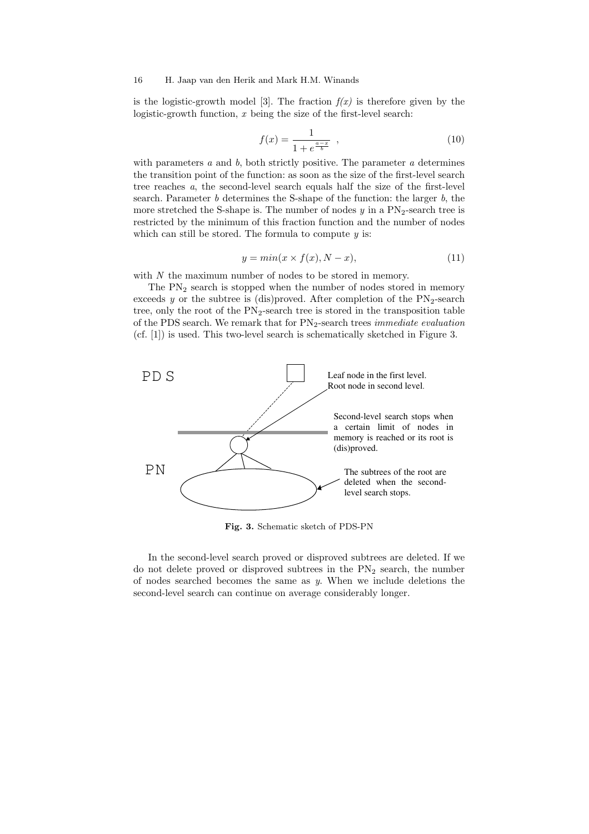is the logistic-growth model [3]. The fraction  $f(x)$  is therefore given by the logistic-growth function,  $x$  being the size of the first-level search:

$$
f(x) = \frac{1}{1 + e^{\frac{a - x}{b}}},
$$
\n(10)

with parameters  $a$  and  $b$ , both strictly positive. The parameter  $a$  determines the transition point of the function: as soon as the size of the first-level search tree reaches a, the second-level search equals half the size of the first-level search. Parameter  $b$  determines the S-shape of the function: the larger  $b$ , the more stretched the S-shape is. The number of nodes  $y$  in a  $PN_2$ -search tree is restricted by the minimum of this fraction function and the number of nodes which can still be stored. The formula to compute  $y$  is:

$$
y = min(x \times f(x), N - x), \tag{11}
$$

with  $N$  the maximum number of nodes to be stored in memory.

The  $PN<sub>2</sub>$  search is stopped when the number of nodes stored in memory exceeds y or the subtree is (dis)proved. After completion of the  $PN<sub>2</sub>$ -search tree, only the root of the  $PN<sub>2</sub>$ -search tree is stored in the transposition table of the PDS search. We remark that for  $PN_2$ -search trees *immediate evaluation* (cf. [1]) is used. This two-level search is schematically sketched in Figure 3.



Fig. 3. Schematic sketch of PDS-PN

In the second-level search proved or disproved subtrees are deleted. If we do not delete proved or disproved subtrees in the  $PN<sub>2</sub>$  search, the number of nodes searched becomes the same as  $y$ . When we include deletions the second-level search can continue on average considerably longer.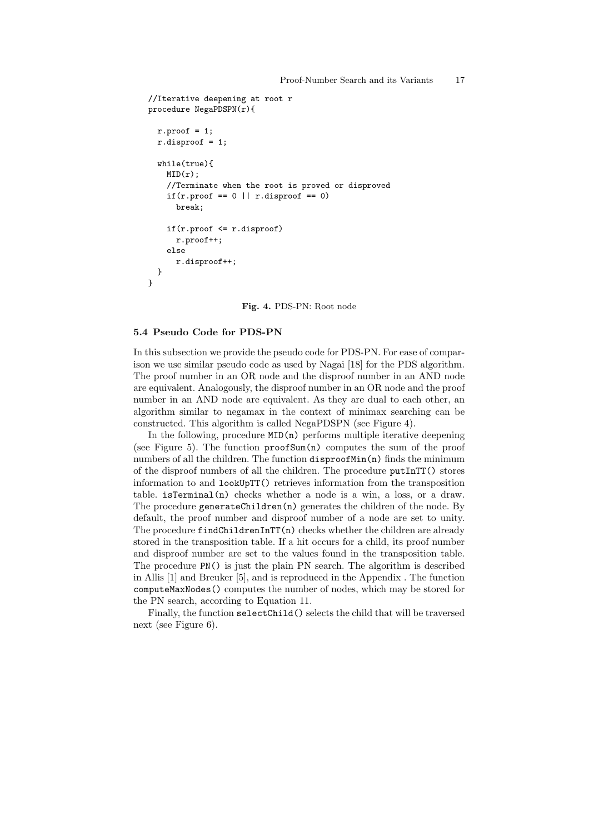```
//Iterative deepening at root r
procedure NegaPDSPN(r){
  r.proof = 1;
  r.disproof = 1;
  while(true){
    MID(r):
    //Terminate when the root is proved or disproved
    if(r.proof == 0 || r.disproof == 0)
      break;
    if(r.proof <= r.disproof)
      r.proof++;
    else
      r.disproof++;
  }
}
```
Fig. 4. PDS-PN: Root node

#### 5.4 Pseudo Code for PDS-PN

In this subsection we provide the pseudo code for PDS-PN. For ease of comparison we use similar pseudo code as used by Nagai [18] for the PDS algorithm. The proof number in an OR node and the disproof number in an AND node are equivalent. Analogously, the disproof number in an OR node and the proof number in an AND node are equivalent. As they are dual to each other, an algorithm similar to negamax in the context of minimax searching can be constructed. This algorithm is called NegaPDSPN (see Figure 4).

In the following, procedure MID(n) performs multiple iterative deepening (see Figure 5). The function  $\text{proofSum}(n)$  computes the sum of the proof numbers of all the children. The function disproofMin(n) finds the minimum of the disproof numbers of all the children. The procedure putInTT() stores information to and lookUpTT() retrieves information from the transposition table.  $isTerminal(n)$  checks whether a node is a win, a loss, or a draw. The procedure generateChildren(n) generates the children of the node. By default, the proof number and disproof number of a node are set to unity. The procedure findChildrenInTT $(n)$  checks whether the children are already stored in the transposition table. If a hit occurs for a child, its proof number and disproof number are set to the values found in the transposition table. The procedure PN() is just the plain PN search. The algorithm is described in Allis [1] and Breuker [5], and is reproduced in the Appendix . The function computeMaxNodes() computes the number of nodes, which may be stored for the PN search, according to Equation 11.

Finally, the function selectChild() selects the child that will be traversed next (see Figure 6).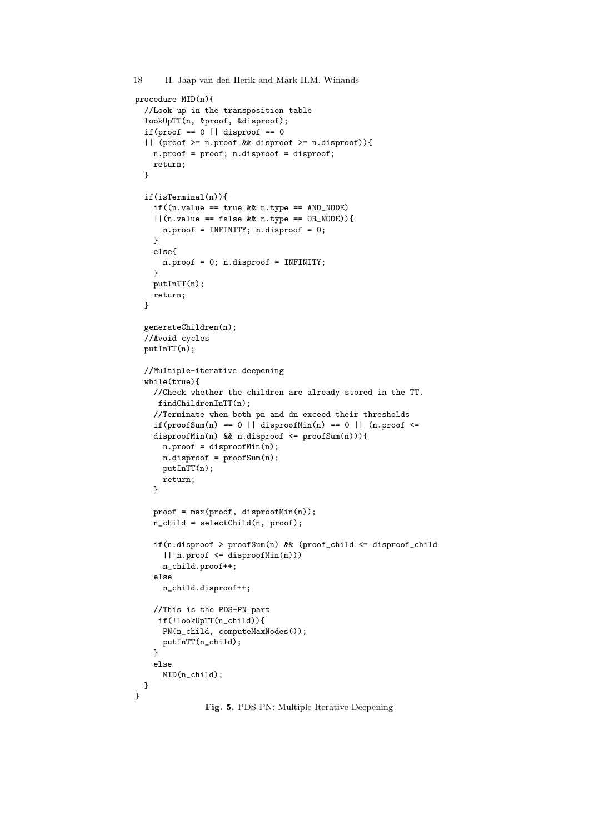```
18 H. Jaap van den Herik and Mark H.M. Winands
procedure MID(n){
  //Look up in the transposition table
 lookUpTT(n, &proof, &disproof);
  if(proof == 0 || disproof == 0|| (proof >= n.proof && disproof >= n.disproof)){
   n.proof = proof; n.disproof = disproof;
    return;
  }
  if(isTerminal(n)){
    if((n.value == true & x.n.type == AND_NODE))||(n.value == false & n_type == OR_NODE))|n.proof = INFINITY; n.disproof = 0;
    }
    else{
      n.proof = 0; n.disproof = INFINITY;
    }
    putInTT(n);return;
  }
  generateChildren(n);
  //Avoid cycles
  putInTT(n);//Multiple-iterative deepening
  while(true){
    //Check whether the children are already stored in the TT.
    findChildrenInTT(n);
    //Terminate when both pn and dn exceed their thresholds
    if(proofSum(n) == 0 || disprootMin(n) == 0 || (n.proot \leqdisproofMin(n) && n.disproof <= proofSum(n))){
     n.proot = disproofMin(n);n.disproof = proofSum(n);
     putInTT(n);return;
    }
    proof = max(proot, disprootMin(n));n_child = selectChild(n, proof);
    if(n.disproof > proofSum(n) && (proof_child <= disproof_child
      || n.proof <= disproofMin(n)))
      n_child.proof++;
    else
      n_child.disproof++;
    //This is the PDS-PN part
     if(!lookUpTT(n_child)){
      PN(n_child, computeMaxNodes());
      putInTT(n_child);
    }
    else
      MID(n_child);
 }
}
               Fig. 5. PDS-PN: Multiple-Iterative Deepening
```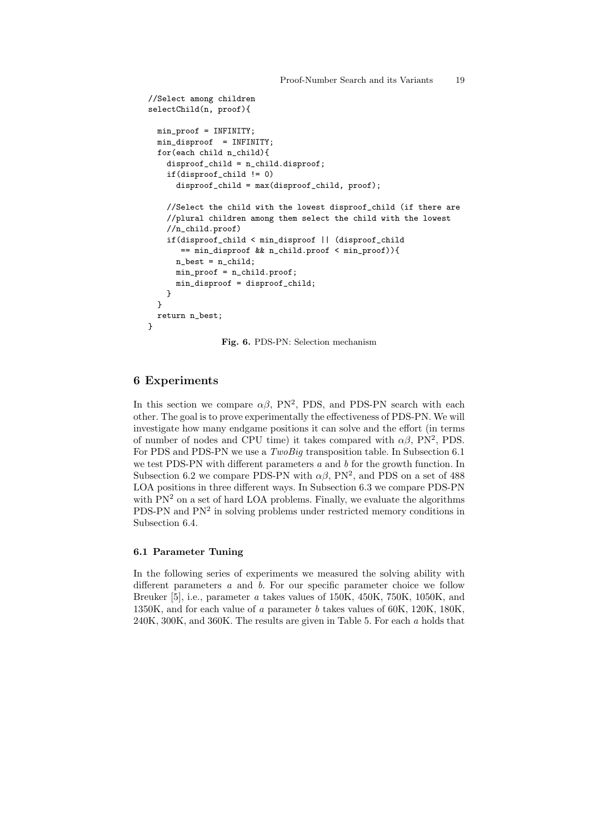```
//Select among children
selectChild(n, proof){
  min proof = INFINITE;
  min_disproof = INFINITY;
  for(each child n_child){
    disproof_child = n_child.disproof;
    if(disproof_child != 0)
      disproof_child = max(disproof_child, proof);
    //Select the child with the lowest disproof_child (if there are
    //plural children among them select the child with the lowest
    //n_child.proof)
    if(disproof_child < min_disproof || (disproof_child
       == min_disproof && n_child.proof < min_proof)){
      n_{\text{best}} = n_{\text{child}};min_proof = n_child.proof;
      min_disproof = disproof_child;
    }
  }
  return n_best;
}
```
Fig. 6. PDS-PN: Selection mechanism

# 6 Experiments

In this section we compare  $\alpha\beta$ , PN<sup>2</sup>, PDS, and PDS-PN search with each other. The goal is to prove experimentally the effectiveness of PDS-PN. We will investigate how many endgame positions it can solve and the effort (in terms of number of nodes and CPU time) it takes compared with  $\alpha\beta$ , PN<sup>2</sup>, PDS. For PDS and PDS-PN we use a *TwoBig* transposition table. In Subsection 6.1 we test PDS-PN with different parameters  $a$  and  $b$  for the growth function. In Subsection 6.2 we compare PDS-PN with  $\alpha\beta$ , PN<sup>2</sup>, and PDS on a set of 488 LOA positions in three different ways. In Subsection 6.3 we compare PDS-PN with  $PN<sup>2</sup>$  on a set of hard LOA problems. Finally, we evaluate the algorithms PDS-PN and PN<sup>2</sup> in solving problems under restricted memory conditions in Subsection 6.4.

### 6.1 Parameter Tuning

In the following series of experiments we measured the solving ability with different parameters a and b. For our specific parameter choice we follow Breuker [5], i.e., parameter a takes values of 150K, 450K, 750K, 1050K, and 1350K, and for each value of a parameter b takes values of 60K, 120K, 180K, 240K, 300K, and 360K. The results are given in Table 5. For each a holds that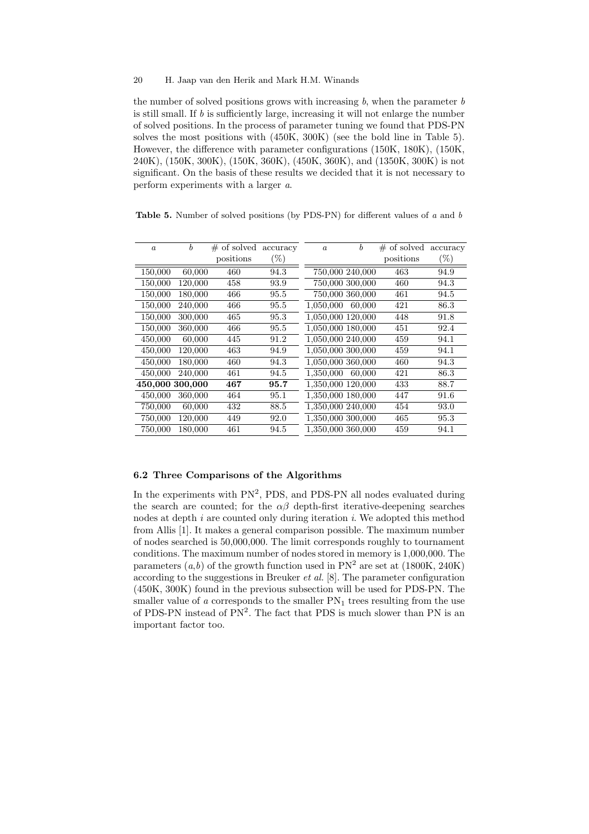the number of solved positions grows with increasing  $b$ , when the parameter  $b$ is still small. If  $b$  is sufficiently large, increasing it will not enlarge the number of solved positions. In the process of parameter tuning we found that PDS-PN solves the most positions with (450K, 300K) (see the bold line in Table 5). However, the difference with parameter configurations (150K, 180K), (150K, 240K), (150K, 300K), (150K, 360K), (450K, 360K), and (1350K, 300K) is not significant. On the basis of these results we decided that it is not necessary to perform experiments with a larger a.

Table 5. Number of solved positions (by PDS-PN) for different values of  $a$  and  $b$ 

| $\boldsymbol{a}$ | $\boldsymbol{b}$ | $\#$ of solved | accuracy | $\boldsymbol{a}$  | $\boldsymbol{b}$ | $\#$ of solved | accuracy |
|------------------|------------------|----------------|----------|-------------------|------------------|----------------|----------|
|                  |                  | positions      | $(\%)$   |                   |                  | positions      | $(\%)$   |
| 150,000          | 60,000           | 460            | 94.3     |                   | 750,000 240,000  | 463            | 94.9     |
| 150,000          | 120,000          | 458            | 93.9     |                   | 750,000 300,000  | 460            | 94.3     |
| 150,000          | 180,000          | 466            | 95.5     |                   | 750,000 360,000  | 461            | 94.5     |
| 150,000          | 240,000          | 466            | 95.5     | 1,050,000         | 60,000           | 421            | 86.3     |
| 150,000          | 300,000          | 465            | 95.3     | 1,050,000 120,000 |                  | 448            | 91.8     |
| 150,000          | 360,000          | 466            | 95.5     | 1,050,000 180,000 |                  | 451            | 92.4     |
| 450,000          | 60,000           | 445            | 91.2     | 1,050,000 240,000 |                  | 459            | 94.1     |
| 450,000          | 120,000          | 463            | 94.9     | 1,050,000 300,000 |                  | 459            | 94.1     |
| 450,000          | 180,000          | 460            | 94.3     | 1,050,000 360,000 |                  | 460            | 94.3     |
| 450,000          | 240,000          | 461            | 94.5     | 1,350,000         | 60,000           | 421            | 86.3     |
|                  | 450,000 300,000  | 467            | 95.7     | 1.350.000 120.000 |                  | 433            | 88.7     |
| 450,000          | 360,000          | 464            | 95.1     | 1,350,000 180,000 |                  | 447            | 91.6     |
| 750,000          | 60,000           | 432            | 88.5     | 1,350,000 240,000 |                  | 454            | 93.0     |
| 750,000          | 120,000          | 449            | 92.0     | 1,350,000 300,000 |                  | 465            | 95.3     |
| 750,000          | 180,000          | 461            | 94.5     | 1,350,000 360,000 |                  | 459            | 94.1     |

#### 6.2 Three Comparisons of the Algorithms

In the experiments with  $PN^2$ , PDS, and PDS-PN all nodes evaluated during the search are counted; for the  $\alpha\beta$  depth-first iterative-deepening searches nodes at depth  $i$  are counted only during iteration  $i$ . We adopted this method from Allis [1]. It makes a general comparison possible. The maximum number of nodes searched is 50,000,000. The limit corresponds roughly to tournament conditions. The maximum number of nodes stored in memory is 1,000,000. The parameters  $(a,b)$  of the growth function used in  $PN<sup>2</sup>$  are set at (1800K, 240K) according to the suggestions in Breuker et al. [8]. The parameter configuration (450K, 300K) found in the previous subsection will be used for PDS-PN. The smaller value of  $a$  corresponds to the smaller  $PN_1$  trees resulting from the use of PDS-PN instead of PN<sup>2</sup> . The fact that PDS is much slower than PN is an important factor too.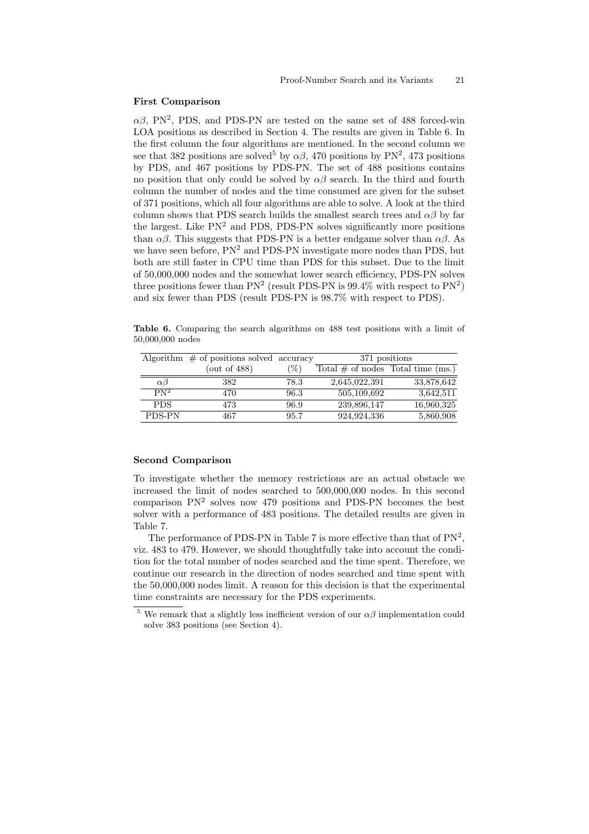#### First Comparison

 $\alpha\beta$ , PN<sup>2</sup>, PDS, and PDS-PN are tested on the same set of 488 forced-win LOA positions as described in Section 4. The results are given in Table 6. In the first column the four algorithms are mentioned. In the second column we see that 382 positions are solved<sup>5</sup> by  $\alpha\beta$ , 470 positions by PN<sup>2</sup>, 473 positions by PDS, and 467 positions by PDS-PN. The set of 488 positions contains no position that only could be solved by  $\alpha\beta$  search. In the third and fourth column the number of nodes and the time consumed are given for the subset of 371 positions, which all four algorithms are able to solve. A look at the third column shows that PDS search builds the smallest search trees and  $\alpha\beta$  by far the largest. Like  $PN<sup>2</sup>$  and PDS, PDS-PN solves significantly more positions than  $\alpha\beta$ . This suggests that PDS-PN is a better endgame solver than  $\alpha\beta$ . As we have seen before,  $PN^2$  and PDS-PN investigate more nodes than PDS, but both are still faster in CPU time than PDS for this subset. Due to the limit of 50,000,000 nodes and the somewhat lower search efficiency, PDS-PN solves three positions fewer than  $PN^2$  (result PDS-PN is 99.4% with respect to  $PN^2$ ) and six fewer than PDS (result PDS-PN is 98.7% with respect to PDS).

Table 6. Comparing the search algorithms on 488 test positions with a limit of 50,000,000 nodes

|               | Algorithm $\#$ of positions solved accuracy |      | 371 positions                        |            |
|---------------|---------------------------------------------|------|--------------------------------------|------------|
|               | (out of $488$ )                             | '%)  | Total $\#$ of nodes Total time (ms.) |            |
| $\alpha\beta$ | 382                                         | 78.3 | 2,645,022,391                        | 33,878,642 |
| $PN^2$        | 470                                         | 96.3 | 505,109,692                          | 3,642,511  |
| <b>PDS</b>    | 473                                         | 96.9 | 239,896,147                          | 16,960,325 |
| PDS-PN        | 467                                         | 95.7 | 924,924,336                          | 5,860,908  |

#### Second Comparison

To investigate whether the memory restrictions are an actual obstacle we increased the limit of nodes searched to 500,000,000 nodes. In this second comparison  $PN^2$  solves now 479 positions and PDS-PN becomes the best solver with a performance of 483 positions. The detailed results are given in Table 7.

The performance of PDS-PN in Table 7 is more effective than that of  $PN^2$ , viz. 483 to 479. However, we should thoughtfully take into account the condition for the total number of nodes searched and the time spent. Therefore, we continue our research in the direction of nodes searched and time spent with the 50,000,000 nodes limit. A reason for this decision is that the experimental time constraints are necessary for the PDS experiments.

<sup>&</sup>lt;sup>5</sup> We remark that a slightly less inefficient version of our  $\alpha\beta$  implementation could solve 383 positions (see Section 4).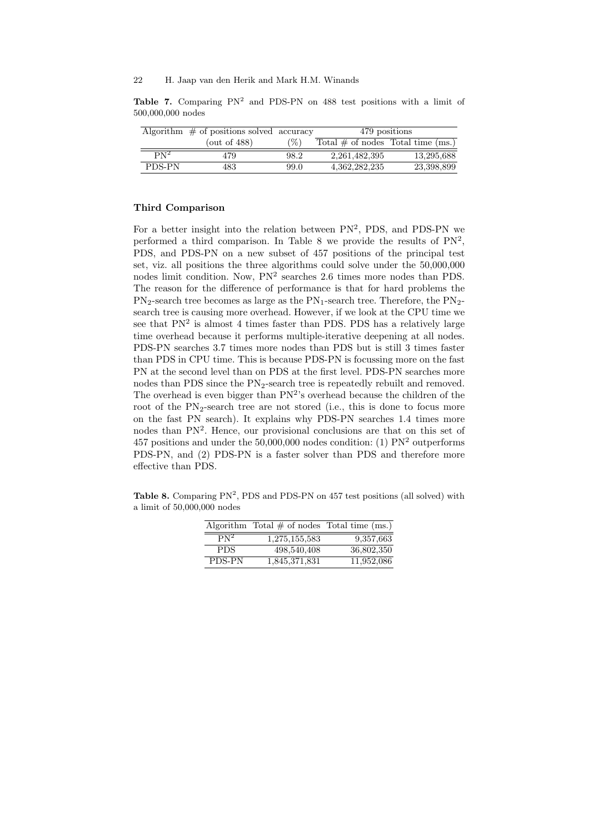Table 7. Comparing  $PN^2$  and PDS-PN on 488 test positions with a limit of 500,000,000 nodes

|        | Algorithm $\#$ of positions solved accuracy |        | 479 positions                        |            |
|--------|---------------------------------------------|--------|--------------------------------------|------------|
|        | (out of $488$ )                             | $(\%)$ | Total $\#$ of nodes Total time (ms.) |            |
| $PN^2$ | 479                                         | 98.2   | 2, 261, 482, 395                     | 13,295,688 |
| PDS-PN | 483                                         | 99.0   | 4.362.282.235                        | 23,398,899 |

#### Third Comparison

For a better insight into the relation between  $PN^2$ , PDS, and PDS-PN we performed a third comparison. In Table 8 we provide the results of  $PN^2$ , PDS, and PDS-PN on a new subset of 457 positions of the principal test set, viz. all positions the three algorithms could solve under the 50,000,000 nodes limit condition. Now,  $PN^2$  searches 2.6 times more nodes than PDS. The reason for the difference of performance is that for hard problems the  $PN<sub>2</sub>$ -search tree becomes as large as the  $PN<sub>1</sub>$ -search tree. Therefore, the  $PN<sub>2</sub>$ search tree is causing more overhead. However, if we look at the CPU time we see that  $PN<sup>2</sup>$  is almost 4 times faster than PDS. PDS has a relatively large time overhead because it performs multiple-iterative deepening at all nodes. PDS-PN searches 3.7 times more nodes than PDS but is still 3 times faster than PDS in CPU time. This is because PDS-PN is focussing more on the fast PN at the second level than on PDS at the first level. PDS-PN searches more nodes than PDS since the  $PN<sub>2</sub>$ -search tree is repeatedly rebuilt and removed. The overhead is even bigger than  $PN^2$ 's overhead because the children of the root of the  $PN_2$ -search tree are not stored (i.e., this is done to focus more on the fast PN search). It explains why PDS-PN searches 1.4 times more nodes than  $PN^2$ . Hence, our provisional conclusions are that on this set of 457 positions and under the  $50,000,000$  nodes condition: (1)  $PN<sup>2</sup>$  outperforms PDS-PN, and (2) PDS-PN is a faster solver than PDS and therefore more effective than PDS.

Table 8. Comparing  $PN^2$ , PDS and PDS-PN on 457 test positions (all solved) with a limit of 50,000,000 nodes

|            | Algorithm Total $\#$ of nodes Total time (ms.) |            |
|------------|------------------------------------------------|------------|
| $PN^2$     | 1,275,155,583                                  | 9,357,663  |
| <b>PDS</b> | 498,540,408                                    | 36,802,350 |
| PDS-PN     | 1,845,371,831                                  | 11,952,086 |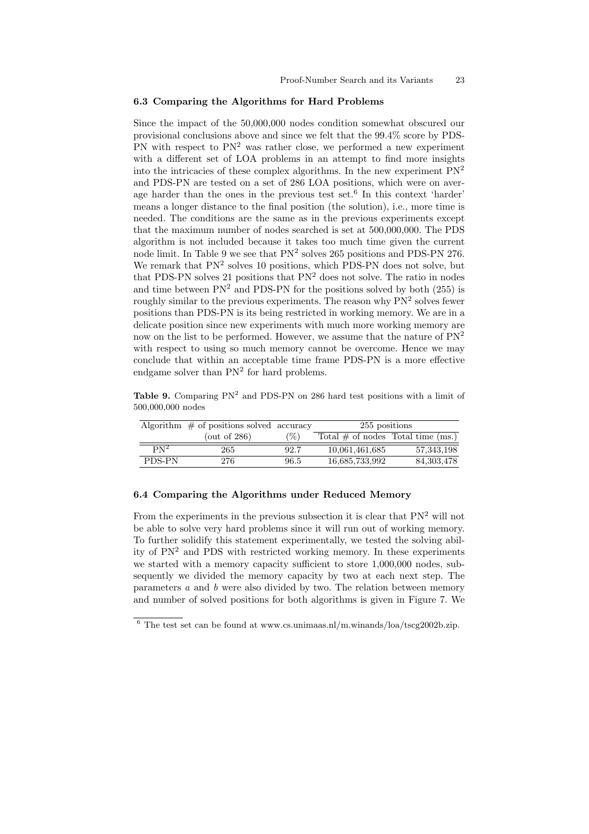#### 6.3 Comparing the Algorithms for Hard Problems

Since the impact of the 50,000,000 nodes condition somewhat obscured our provisional conclusions above and since we felt that the 99.4% score by PDS-PN with respect to  $PN<sup>2</sup>$  was rather close, we performed a new experiment with a different set of LOA problems in an attempt to find more insights into the intricacies of these complex algorithms. In the new experiment  $PN^2$ and PDS-PN are tested on a set of 286 LOA positions, which were on average harder than the ones in the previous test set.<sup>6</sup> In this context 'harder' means a longer distance to the final position (the solution), i.e., more time is needed. The conditions are the same as in the previous experiments except that the maximum number of nodes searched is set at 500,000,000. The PDS algorithm is not included because it takes too much time given the current node limit. In Table 9 we see that  $PN^2$  solves 265 positions and PDS-PN 276. We remark that  $PN^2$  solves 10 positions, which PDS-PN does not solve, but that PDS-PN solves 21 positions that  $PN<sup>2</sup>$  does not solve. The ratio in nodes and time between  $PN^2$  and PDS-PN for the positions solved by both (255) is roughly similar to the previous experiments. The reason why  $PN<sup>2</sup>$  solves fewer positions than PDS-PN is its being restricted in working memory. We are in a delicate position since new experiments with much more working memory are now on the list to be performed. However, we assume that the nature of  $PN<sup>2</sup>$ with respect to using so much memory cannot be overcome. Hence we may conclude that within an acceptable time frame PDS-PN is a more effective endgame solver than  $PN<sup>2</sup>$  for hard problems.

Table 9. Comparing  $PN^2$  and PDS-PN on 286 hard test positions with a limit of 500,000,000 nodes

|        | Algorithm $\#$ of positions solved accuracy |                 | 255 positions                        |            |
|--------|---------------------------------------------|-----------------|--------------------------------------|------------|
|        | (out of $286$ )                             | $\mathscr{C}_0$ | Total $\#$ of nodes Total time (ms.) |            |
| $PN^2$ | 265                                         | 92.7            | 10,061,461,685                       | 57,343,198 |
| PDS-PN | 276                                         | 96.5            | 16,685,733,992                       | 84,303,478 |

# 6.4 Comparing the Algorithms under Reduced Memory

From the experiments in the previous subsection it is clear that  $PN<sup>2</sup>$  will not be able to solve very hard problems since it will run out of working memory. To further solidify this statement experimentally, we tested the solving ability of  $PN<sup>2</sup>$  and PDS with restricted working memory. In these experiments we started with a memory capacity sufficient to store 1,000,000 nodes, subsequently we divided the memory capacity by two at each next step. The parameters a and b were also divided by two. The relation between memory and number of solved positions for both algorithms is given in Figure 7. We

 $6$  The test set can be found at www.cs.unimaas.nl/m.winands/loa/tscg2002b.zip.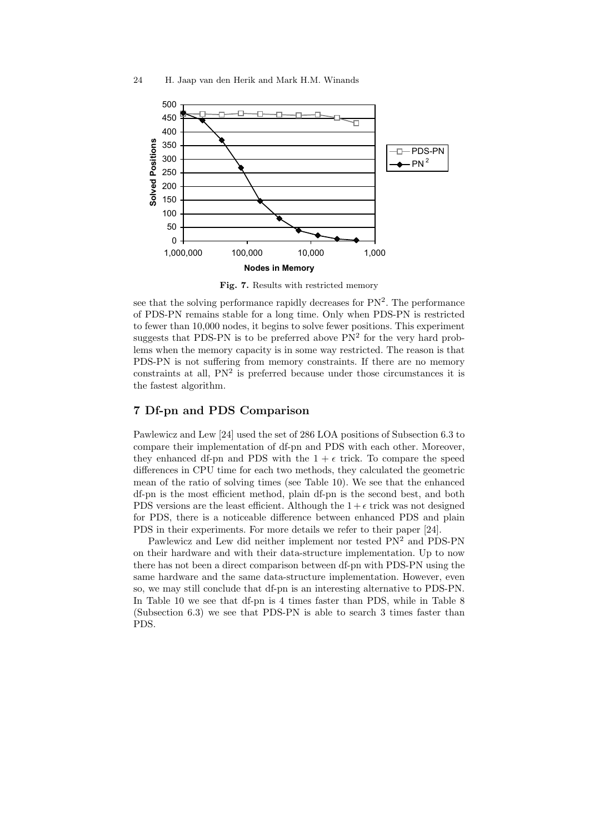

Fig. 7. Results with restricted memory

see that the solving performance rapidly decreases for  $PN<sup>2</sup>$ . The performance of PDS-PN remains stable for a long time. Only when PDS-PN is restricted to fewer than 10,000 nodes, it begins to solve fewer positions. This experiment suggests that PDS-PN is to be preferred above  $PN<sup>2</sup>$  for the very hard problems when the memory capacity is in some way restricted. The reason is that PDS-PN is not suffering from memory constraints. If there are no memory constraints at all,  $PN^2$  is preferred because under those circumstances it is the fastest algorithm.

# 7 Df-pn and PDS Comparison

Pawlewicz and Lew [24] used the set of 286 LOA positions of Subsection 6.3 to compare their implementation of df-pn and PDS with each other. Moreover, they enhanced df-pn and PDS with the  $1 + \epsilon$  trick. To compare the speed differences in CPU time for each two methods, they calculated the geometric mean of the ratio of solving times (see Table 10). We see that the enhanced df-pn is the most efficient method, plain df-pn is the second best, and both PDS versions are the least efficient. Although the  $1 + \epsilon$  trick was not designed for PDS, there is a noticeable difference between enhanced PDS and plain PDS in their experiments. For more details we refer to their paper [24].

Pawlewicz and Lew did neither implement nor tested  $PN<sup>2</sup>$  and PDS-PN on their hardware and with their data-structure implementation. Up to now there has not been a direct comparison between df-pn with PDS-PN using the same hardware and the same data-structure implementation. However, even so, we may still conclude that df-pn is an interesting alternative to PDS-PN. In Table 10 we see that df-pn is 4 times faster than PDS, while in Table 8 (Subsection 6.3) we see that PDS-PN is able to search 3 times faster than PDS.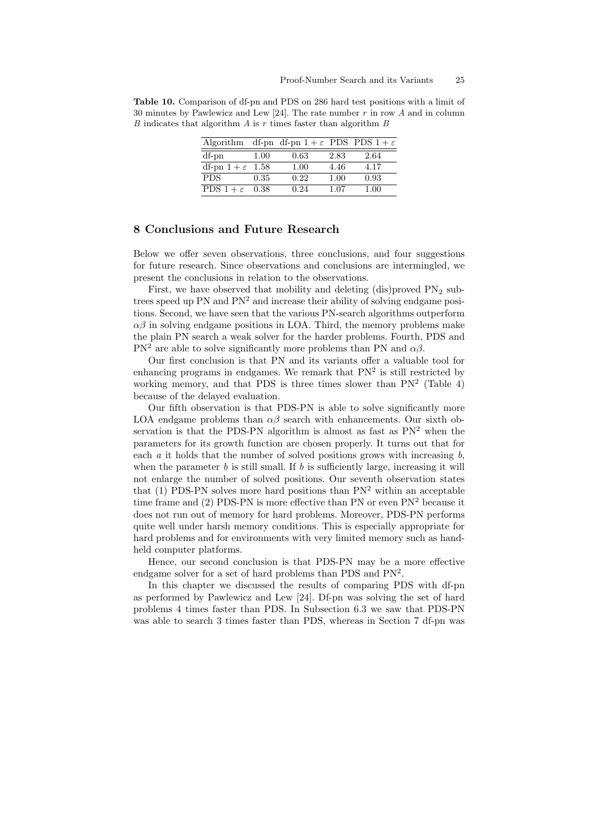Table 10. Comparison of df-pn and PDS on 286 hard test positions with a limit of 30 minutes by Pawlewicz and Lew [24]. The rate number r in row A and in column  ${\cal B}$  indicates that algorithm  ${\cal A}$  is  $r$  times faster than algorithm  ${\cal B}$ 

|                              |      | Algorithm df-pn df-pn $1+\varepsilon$ PDS PDS $1+\varepsilon$ |      |      |
|------------------------------|------|---------------------------------------------------------------|------|------|
| $df$ -pn                     | 1.00 | 0.63                                                          | 2.83 | 2.64 |
| df-pn $1 + \varepsilon$ 1.58 |      | 1.00                                                          | 4.46 | 4.17 |
| <b>PDS</b>                   | 0.35 | 0.22                                                          | 1.00 | 0.93 |
| PDS $1+\varepsilon$          | 0.38 | 0.24                                                          | 1.07 | 1.00 |

# 8 Conclusions and Future Research

Below we offer seven observations, three conclusions, and four suggestions for future research. Since observations and conclusions are intermingled, we present the conclusions in relation to the observations.

First, we have observed that mobility and deleting (dis)proved  $PN_2$  subtrees speed up  $PN$  and  $PN<sup>2</sup>$  and increase their ability of solving endgame positions. Second, we have seen that the various PN-search algorithms outperform  $\alpha\beta$  in solving endgame positions in LOA. Third, the memory problems make the plain PN search a weak solver for the harder problems. Fourth, PDS and PN<sup>2</sup> are able to solve significantly more problems than PN and  $\alpha\beta$ .

Our first conclusion is that PN and its variants offer a valuable tool for enhancing programs in endgames. We remark that  $PN<sup>2</sup>$  is still restricted by working memory, and that PDS is three times slower than  $PN<sup>2</sup>$  (Table 4) because of the delayed evaluation.

Our fifth observation is that PDS-PN is able to solve significantly more LOA endgame problems than  $\alpha\beta$  search with enhancements. Our sixth observation is that the PDS-PN algorithm is almost as fast as  $PN<sup>2</sup>$  when the parameters for its growth function are chosen properly. It turns out that for each  $\alpha$  it holds that the number of solved positions grows with increasing  $\beta$ , when the parameter  $b$  is still small. If  $b$  is sufficiently large, increasing it will not enlarge the number of solved positions. Our seventh observation states that (1) PDS-PN solves more hard positions than  $PN<sup>2</sup>$  within an acceptable time frame and  $(2)$  PDS-PN is more effective than PN or even  $PN<sup>2</sup>$  because it does not run out of memory for hard problems. Moreover, PDS-PN performs quite well under harsh memory conditions. This is especially appropriate for hard problems and for environments with very limited memory such as handheld computer platforms.

Hence, our second conclusion is that PDS-PN may be a more effective endgame solver for a set of hard problems than PDS and  $PN^2$ .

In this chapter we discussed the results of comparing PDS with df-pn as performed by Pawlewicz and Lew [24]. Df-pn was solving the set of hard problems 4 times faster than PDS. In Subsection 6.3 we saw that PDS-PN was able to search 3 times faster than PDS, whereas in Section 7 df-pn was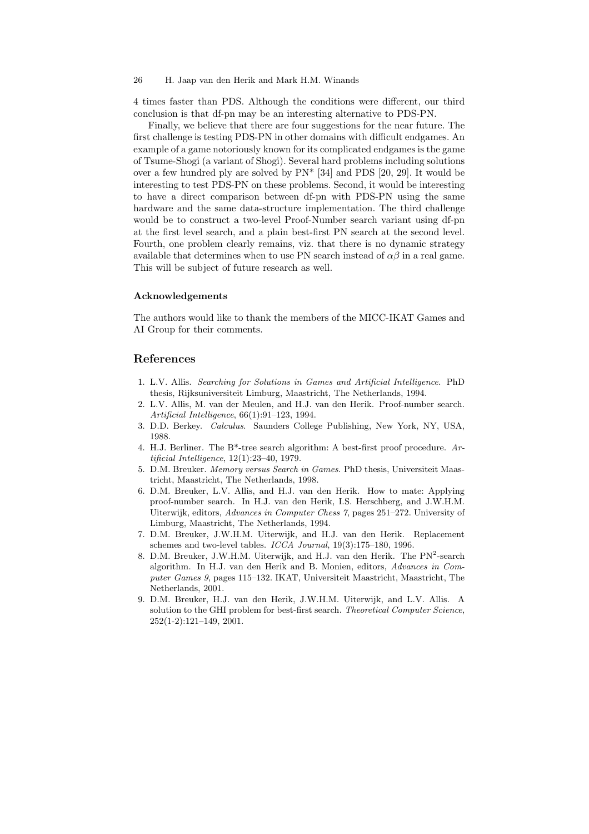4 times faster than PDS. Although the conditions were different, our third conclusion is that df-pn may be an interesting alternative to PDS-PN.

Finally, we believe that there are four suggestions for the near future. The first challenge is testing PDS-PN in other domains with difficult endgames. An example of a game notoriously known for its complicated endgames is the game of Tsume-Shogi (a variant of Shogi). Several hard problems including solutions over a few hundred ply are solved by PN\* [34] and PDS [20, 29]. It would be interesting to test PDS-PN on these problems. Second, it would be interesting to have a direct comparison between df-pn with PDS-PN using the same hardware and the same data-structure implementation. The third challenge would be to construct a two-level Proof-Number search variant using df-pn at the first level search, and a plain best-first PN search at the second level. Fourth, one problem clearly remains, viz. that there is no dynamic strategy available that determines when to use PN search instead of  $\alpha\beta$  in a real game. This will be subject of future research as well.

#### Acknowledgements

The authors would like to thank the members of the MICC-IKAT Games and AI Group for their comments.

# References

- 1. L.V. Allis. Searching for Solutions in Games and Artificial Intelligence. PhD thesis, Rijksuniversiteit Limburg, Maastricht, The Netherlands, 1994.
- 2. L.V. Allis, M. van der Meulen, and H.J. van den Herik. Proof-number search. Artificial Intelligence, 66(1):91–123, 1994.
- 3. D.D. Berkey. Calculus. Saunders College Publishing, New York, NY, USA, 1988.
- 4. H.J. Berliner. The B\*-tree search algorithm: A best-first proof procedure. Artificial Intelligence, 12(1):23–40, 1979.
- 5. D.M. Breuker. Memory versus Search in Games. PhD thesis, Universiteit Maastricht, Maastricht, The Netherlands, 1998.
- 6. D.M. Breuker, L.V. Allis, and H.J. van den Herik. How to mate: Applying proof-number search. In H.J. van den Herik, I.S. Herschberg, and J.W.H.M. Uiterwijk, editors, Advances in Computer Chess 7, pages 251–272. University of Limburg, Maastricht, The Netherlands, 1994.
- 7. D.M. Breuker, J.W.H.M. Uiterwijk, and H.J. van den Herik. Replacement schemes and two-level tables. ICCA Journal, 19(3):175–180, 1996.
- 8. D.M. Breuker, J.W.H.M. Uiterwijk, and H.J. van den Herik. The PN<sup>2</sup>-search algorithm. In H.J. van den Herik and B. Monien, editors, Advances in Computer Games 9, pages 115–132. IKAT, Universiteit Maastricht, Maastricht, The Netherlands, 2001.
- 9. D.M. Breuker, H.J. van den Herik, J.W.H.M. Uiterwijk, and L.V. Allis. A solution to the GHI problem for best-first search. Theoretical Computer Science, 252(1-2):121–149, 2001.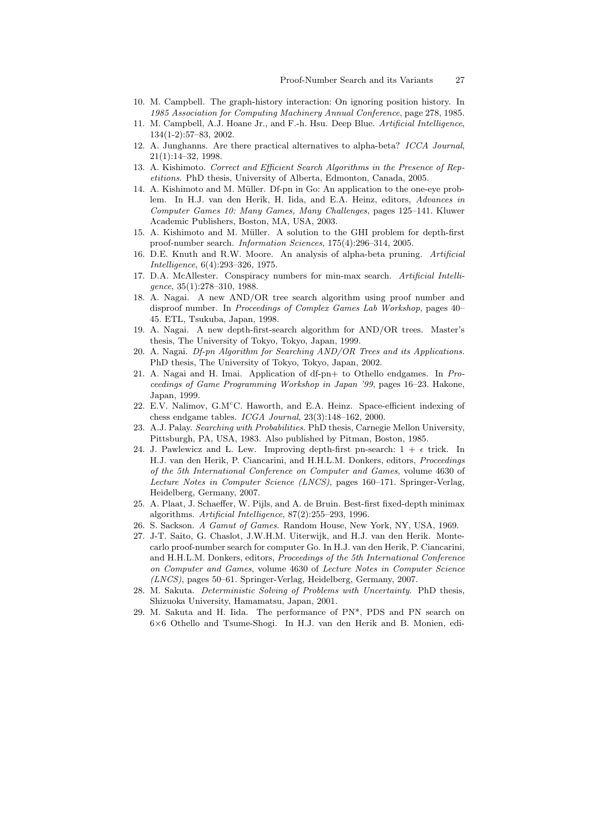- 10. M. Campbell. The graph-history interaction: On ignoring position history. In 1985 Association for Computing Machinery Annual Conference, page 278, 1985.
- 11. M. Campbell, A.J. Hoane Jr., and F.-h. Hsu. Deep Blue. Artificial Intelligence, 134(1-2):57–83, 2002.
- 12. A. Junghanns. Are there practical alternatives to alpha-beta? ICCA Journal, 21(1):14–32, 1998.
- 13. A. Kishimoto. Correct and Efficient Search Algorithms in the Presence of Repetitions. PhD thesis, University of Alberta, Edmonton, Canada, 2005.
- 14. A. Kishimoto and M. Müller. Df-pn in Go: An application to the one-eye problem. In H.J. van den Herik, H. Iida, and E.A. Heinz, editors, Advances in Computer Games 10: Many Games, Many Challenges, pages 125–141. Kluwer Academic Publishers, Boston, MA, USA, 2003.
- 15. A. Kishimoto and M. Müller. A solution to the GHI problem for depth-first proof-number search. Information Sciences, 175(4):296–314, 2005.
- 16. D.E. Knuth and R.W. Moore. An analysis of alpha-beta pruning. Artificial Intelligence, 6(4):293–326, 1975.
- 17. D.A. McAllester. Conspiracy numbers for min-max search. Artificial Intelligence, 35(1):278–310, 1988.
- 18. A. Nagai. A new AND/OR tree search algorithm using proof number and disproof number. In Proceedings of Complex Games Lab Workshop, pages 40– 45. ETL, Tsukuba, Japan, 1998.
- 19. A. Nagai. A new depth-first-search algorithm for AND/OR trees. Master's thesis, The University of Tokyo, Tokyo, Japan, 1999.
- 20. A. Nagai. Df-pn Algorithm for Searching AND/OR Trees and its Applications. PhD thesis, The University of Tokyo, Tokyo, Japan, 2002.
- 21. A. Nagai and H. Imai. Application of df-pn+ to Othello endgames. In Proceedings of Game Programming Workshop in Japan '99, pages 16–23. Hakone, Japan, 1999.
- 22. E.V. Nalimov, G.M<sup>c</sup>C. Haworth, and E.A. Heinz. Space-efficient indexing of chess endgame tables. ICGA Journal, 23(3):148–162, 2000.
- 23. A.J. Palay. Searching with Probabilities. PhD thesis, Carnegie Mellon University, Pittsburgh, PA, USA, 1983. Also published by Pitman, Boston, 1985.
- 24. J. Pawlewicz and L. Lew. Improving depth-first pn-search:  $1 + \epsilon$  trick. In H.J. van den Herik, P. Ciancarini, and H.H.L.M. Donkers, editors, Proceedings of the 5th International Conference on Computer and Games, volume 4630 of Lecture Notes in Computer Science (LNCS), pages 160–171. Springer-Verlag, Heidelberg, Germany, 2007.
- 25. A. Plaat, J. Schaeffer, W. Pijls, and A. de Bruin. Best-first fixed-depth minimax algorithms. Artificial Intelligence, 87(2):255–293, 1996.
- 26. S. Sackson. A Gamut of Games. Random House, New York, NY, USA, 1969.
- 27. J-T. Saito, G. Chaslot, J.W.H.M. Uiterwijk, and H.J. van den Herik. Montecarlo proof-number search for computer Go. In H.J. van den Herik, P. Ciancarini, and H.H.L.M. Donkers, editors, Proceedings of the 5th International Conference on Computer and Games, volume 4630 of Lecture Notes in Computer Science (LNCS), pages 50–61. Springer-Verlag, Heidelberg, Germany, 2007.
- 28. M. Sakuta. Deterministic Solving of Problems with Uncertainty. PhD thesis, Shizuoka University, Hamamatsu, Japan, 2001.
- 29. M. Sakuta and H. Iida. The performance of PN\*, PDS and PN search on 6×6 Othello and Tsume-Shogi. In H.J. van den Herik and B. Monien, edi-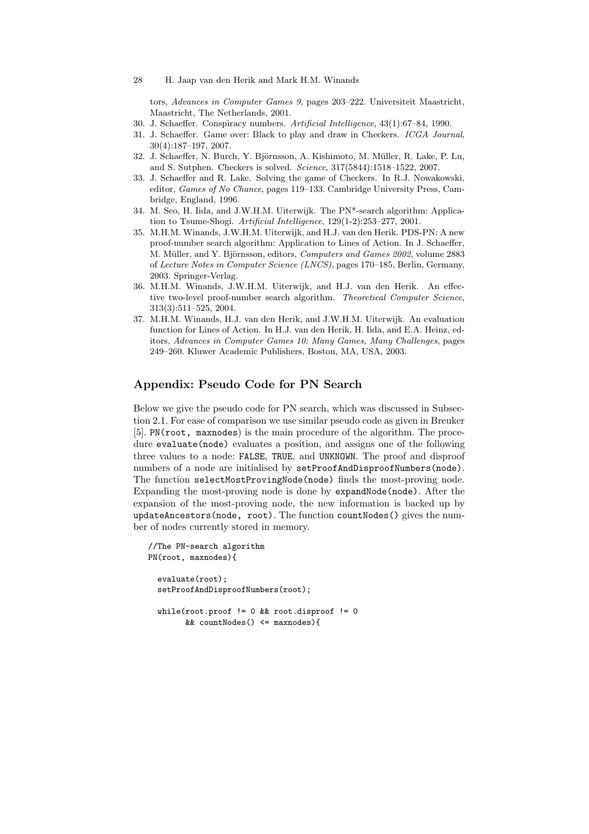tors, Advances in Computer Games 9, pages 203–222. Universiteit Maastricht, Maastricht, The Netherlands, 2001.

- 30. J. Schaeffer. Conspiracy numbers. Artificial Intelligence, 43(1):67–84, 1990.
- 31. J. Schaeffer. Game over: Black to play and draw in Checkers. ICGA Journal, 30(4):187–197, 2007.
- 32. J. Schaeffer, N. Burch, Y. Björnsson, A. Kishimoto, M. Müller, R. Lake, P. Lu, and S. Sutphen. Checkers is solved. Science, 317(5844):1518–1522, 2007.
- 33. J. Schaeffer and R. Lake. Solving the game of Checkers. In R.J. Nowakowski, editor, Games of No Chance, pages 119–133. Cambridge University Press, Cambridge, England, 1996.
- 34. M. Seo, H. Iida, and J.W.H.M. Uiterwijk. The PN\*-search algorithm: Application to Tsume-Shogi. Artificial Intelligence, 129(1-2):253–277, 2001.
- 35. M.H.M. Winands, J.W.H.M. Uiterwijk, and H.J. van den Herik. PDS-PN: A new proof-number search algorithm: Application to Lines of Action. In J. Schaeffer, M. Müller, and Y. Björnsson, editors, Computers and Games 2002, volume 2883 of Lecture Notes in Computer Science (LNCS), pages 170–185, Berlin, Germany, 2003. Springer-Verlag.
- 36. M.H.M. Winands, J.W.H.M. Uiterwijk, and H.J. van den Herik. An effective two-level proof-number search algorithm. Theoretical Computer Science, 313(3):511–525, 2004.
- 37. M.H.M. Winands, H.J. van den Herik, and J.W.H.M. Uiterwijk. An evaluation function for Lines of Action. In H.J. van den Herik, H. Iida, and E.A. Heinz, editors, Advances in Computer Games 10: Many Games, Many Challenges, pages 249–260. Kluwer Academic Publishers, Boston, MA, USA, 2003.

# Appendix: Pseudo Code for PN Search

Below we give the pseudo code for PN search, which was discussed in Subsection 2.1. For ease of comparison we use similar pseudo code as given in Breuker [5]. PN(root, maxnodes) is the main procedure of the algorithm. The procedure evaluate(node) evaluates a position, and assigns one of the following three values to a node: FALSE, TRUE, and UNKNOWN. The proof and disproof numbers of a node are initialised by setProofAndDisproofNumbers(node). The function selectMostProvingNode(node) finds the most-proving node. Expanding the most-proving node is done by expandNode(node). After the expansion of the most-proving node, the new information is backed up by updateAncestors(node, root). The function countNodes() gives the number of nodes currently stored in memory.

```
//The PN-search algorithm
PN(root, maxnodes){
  evaluate(root);
  setProofAndDisproofNumbers(root);
  while(root.proof != 0 && root.disproof != 0
        && countNodes() <= maxnodes){
```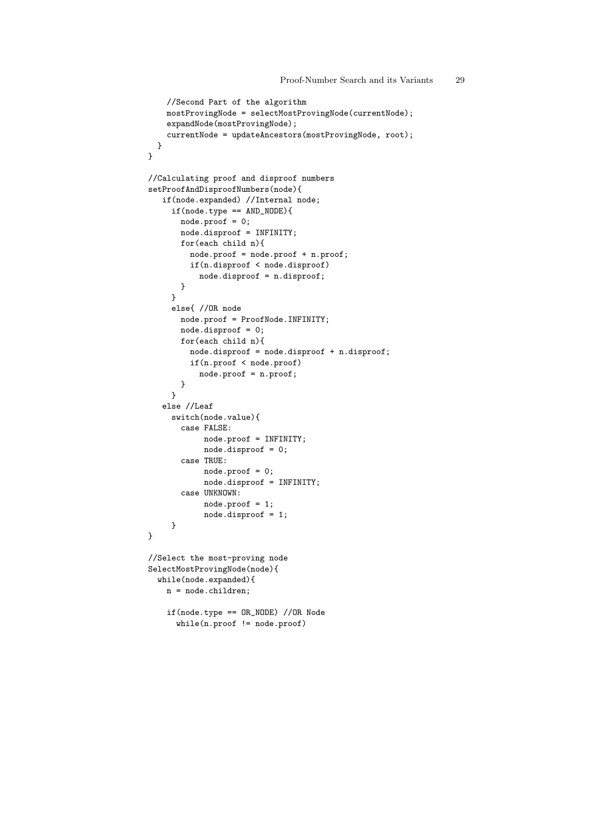```
//Second Part of the algorithm
    mostProvingNode = selectMostProvingNode(currentNode);
    expandNode(mostProvingNode);
    currentNode = updateAncestors(mostProvingNode, root);
 }
}
//Calculating proof and disproof numbers
setProofAndDisproofNumbers(node){
   if(node.expanded) //Internal node;
     if(node-type == AND_NODE){
      node.proof = 0;
      node.disproof = INFINITY;
      for(each child n){
        node.proof = node.proof + n.proof;
         if(n.disproof < node.disproof)
           node.disproof = n.disproof;
      }
     }
     else{ //OR node
      node.proof = ProofNode.INFINITY;
      node.disproof = 0;
      for(each child n){
        node.disproof = node.disproof + n.disproof;
         if(n.proof < node.proof)
           node.proof = n.proof;
      }
     }
   else //Leaf
     switch(node.value){
       case FALSE:
           node.proof = INFINITY;
           node.disproof = 0;
       case TRUE:
           node.proof = 0;
           node.disproof = INFINITY;
       case UNKNOWN:
           node.proof = 1;
           node.disproof = 1;
     }
}
//Select the most-proving node
SelectMostProvingNode(node){
 while(node.expanded){
   n = node.children;
    if(node-type == OR_NODE) //OR Node
     while(n.proof != node.proof)
```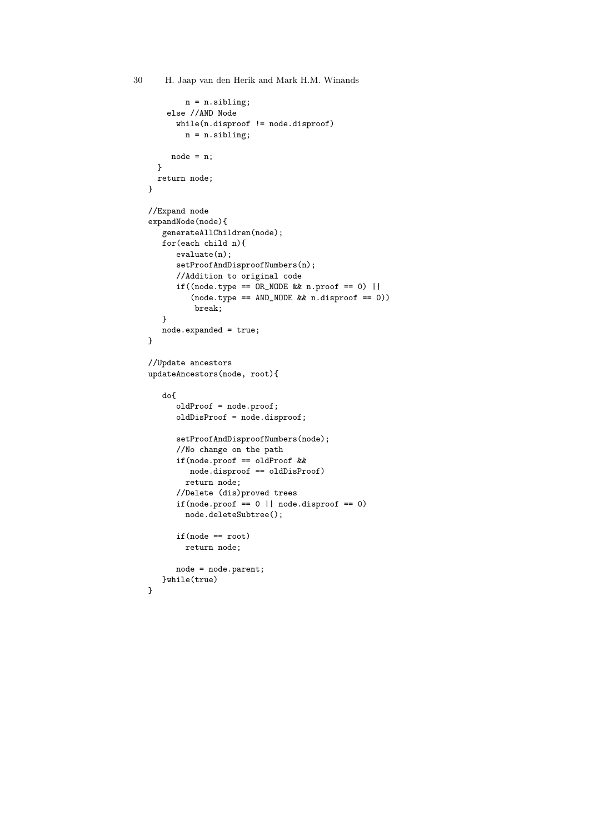```
n = n.sibling;
    else //AND Node
     while(n.disproof != node.disproof)
       n = n.sibling;
    node = n;
  }
 return node;
}
//Expand node
expandNode(node){
  generateAllChildren(node);
  for(each child n){
     evaluate(n);
     setProofAndDisproofNumbers(n);
     //Addition to original code
     if((node.type == OR NODE && n.proof == 0) ||
         (node.type == AND_NODE && n.disproof == 0))
          break;
  }
  node.expanded = true;
}
//Update ancestors
updateAncestors(node, root){
  do{
     oldProof = node.proof;
     oldDisProof = node.disproof;
     setProofAndDisproofNumbers(node);
      //No change on the path
     if(node.proof == oldProof &&
        node.disproof == oldDisProof)
        return node;
      //Delete (dis)proved trees
     if(node.proot == 0 || node.disproof == 0)node.deleteSubtree();
     if(node == root)
        return node;
     node = node.parent;
   }while(true)
}
```